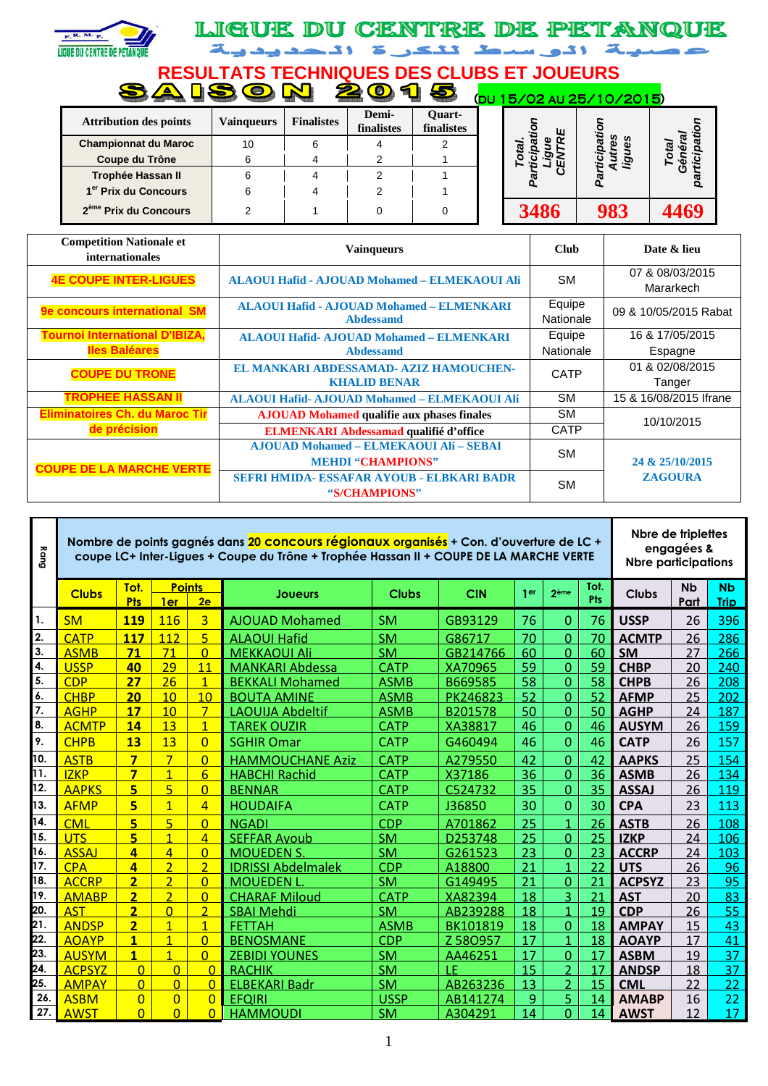

## LIGUE DU CENTRE DE PETANQUE اصلية الوسط تنكى ة الحديدية

**RESULTATS TECHNIQUES DES CLUBS ET JOUEURS** 

|                                   | <b>Common Service</b> |                   |                     | <b>CONTROL</b>              | (DU 15/02 AU 25/10/2015) |     |      |
|-----------------------------------|-----------------------|-------------------|---------------------|-----------------------------|--------------------------|-----|------|
| <b>Attribution des points</b>     | <b>Vainqueurs</b>     | <b>Finalistes</b> | Demi-<br>finalistes | <b>Ouart-</b><br>finalistes | ш                        |     |      |
| <b>Championnat du Maroc</b>       | 10                    |                   |                     |                             | æ                        | œ   |      |
| Coupe du Trône                    |                       |                   |                     |                             |                          | တ   |      |
| Trophée Hassan II                 |                       |                   |                     |                             |                          |     | o    |
| 1 <sup>er</sup> Prix du Concours  |                       |                   |                     |                             |                          |     |      |
| 2 <sup>ème</sup> Prix du Concours |                       |                   |                     |                             | <b>3486</b>              | 983 | 1469 |

| <b>Competition Nationale et</b><br>internationales            | <b>Vainqueurs</b>                                                         | <b>Club</b>         | Date & lieu                  |
|---------------------------------------------------------------|---------------------------------------------------------------------------|---------------------|------------------------------|
| <b>4E COUPE INTER-LIGUES</b>                                  | ALAOUI Hafid - AJOUAD Mohamed - ELMEKAOUI Ali                             | <b>SM</b>           | 07 & 08/03/2015<br>Mararkech |
| 9e concours international SM                                  | <b>ALAOUI Hafid - AJOUAD Mohamed - ELMENKARI</b><br><b>Abdessamd</b>      | Equipe<br>Nationale | 09 & 10/05/2015 Rabat        |
| <b>Tournoi International D'IBIZA,</b><br><b>Iles Baléares</b> | <b>ALAQUI Hafid- AJQUAD Mohamed - ELMENKARI</b><br><b>Abdessamd</b>       | Equipe<br>Nationale | 16 & 17/05/2015<br>Espagne   |
| <b>COUPE DU TRONE</b>                                         | EL MANKARI ABDESSAMAD- AZIZ HAMOUCHEN-<br><b>KHALID BENAR</b>             | <b>CATP</b>         | 01 & 02/08/2015<br>Tanger    |
| <b>TROPHEE HASSAN II</b>                                      | ALAOUI Hafid- AJOUAD Mohamed - ELMEKAOUI Ali                              | <b>SM</b>           | 15 & 16/08/2015 Ifrane       |
| <b>Eliminatoires Ch. du Maroc Tir</b>                         | <b>AJOUAD Mohamed qualifie aux phases finales</b>                         | <b>SM</b>           | 10/10/2015                   |
| de précision                                                  | <b>ELMENKARI Abdessamad qualifié d'office</b>                             | <b>CATP</b>         |                              |
| <b>COUPE DE LA MARCHE VERTE</b>                               | <b>AJOUAD Mohamed - ELMEKAOUI Ali - SEBAI</b><br><b>MEHDI "CHAMPIONS"</b> | <b>SM</b>           | 24 & 25/10/2015              |
|                                                               | <b>SEFRI HMIDA- ESSAFAR AYOUB - ELBKARI BADR</b><br>"S/CHAMPIONS"         | <b>SM</b>           | <b>ZAGOURA</b>               |

| Bang             |               |                         |                |                     | Nombre de points gagnés dans 20 concours régionaux organisés + Con. d'ouverture de LC +<br>coupe LC+ Inter-Ligues + Coupe du Trône + Trophée Hassan II + COUPE DE LA MARCHE VERTE |              |            |      |                                  |                    | Nbre de triplettes<br><b>Nbre participations</b> | engagées &        |                          |
|------------------|---------------|-------------------------|----------------|---------------------|-----------------------------------------------------------------------------------------------------------------------------------------------------------------------------------|--------------|------------|------|----------------------------------|--------------------|--------------------------------------------------|-------------------|--------------------------|
|                  | <b>Clubs</b>  | Tot.<br><b>Pts</b>      | 1er            | <b>Points</b><br>2e | <b>Joueurs</b>                                                                                                                                                                    | <b>Clubs</b> | <b>CIN</b> | 1 er | 2ème                             | Tot.<br><b>Pts</b> | <b>Clubs</b>                                     | <b>Nb</b><br>Part | <b>Nb</b><br><b>Trip</b> |
| 1.               | <b>SM</b>     | <b>119</b>              | 116            | $\overline{3}$      | <b>AJOUAD Mohamed</b>                                                                                                                                                             | <b>SM</b>    | GB93129    | 76   | $\overline{0}$                   | 76                 | <b>USSP</b>                                      | 26                | 396                      |
| 2.               | <b>CATP</b>   | <b>117</b>              | 112            | $\overline{5}$      | <b>ALAOUI Hafid</b>                                                                                                                                                               | <b>SM</b>    | G86717     | 70   | $\overline{0}$                   | 70                 | <b>ACMTP</b>                                     | 26                | 286                      |
| 3.               | <b>ASMB</b>   | 71                      | 71             | $\Omega$            | <b>MEKKAOUI Ali</b>                                                                                                                                                               | <b>SM</b>    | GB214766   | 60   | $\overline{0}$                   | 60                 | <b>SM</b>                                        | 27                | 266                      |
| 4.               | <b>USSP</b>   | 40                      | 29             | 11                  | <b>MANKARI Abdessa</b>                                                                                                                                                            | <b>CATP</b>  | XA70965    | 59   | $\overline{0}$                   | 59                 | <b>CHBP</b>                                      | 20                | 240                      |
| 5.               | <b>CDP</b>    | 27                      | 26             | $\mathbf{1}$        | <b>BEKKALI Mohamed</b>                                                                                                                                                            | <b>ASMB</b>  | B669585    | 58   | $\overline{0}$                   | 58                 | <b>CHPB</b>                                      | 26                | 208                      |
| 6.               | <b>CHBP</b>   | 20                      | 10             | 10                  | <b>BOUTA AMINE</b>                                                                                                                                                                | <b>ASMB</b>  | PK246823   | 52   | $\overline{0}$                   | 52                 | <b>AFMP</b>                                      | 25                | 202                      |
| $\overline{7}$ . | <b>AGHP</b>   | 17                      | 10             | $\overline{7}$      | <b>LAOUIJA Abdeltif</b>                                                                                                                                                           | <b>ASMB</b>  | B201578    | 50   | $\overline{0}$                   | 50                 | <b>AGHP</b>                                      | 24                | 187                      |
| 8.               | <b>ACMTP</b>  | 14                      | 13             | $\mathbf{1}$        | <b>TAREK OUZIR</b>                                                                                                                                                                | <b>CATP</b>  | XA38817    | 46   | $\overline{0}$                   | 46                 | <b>AUSYM</b>                                     | 26                | 159                      |
| 9.               | <b>CHPB</b>   | 13                      | 13             | $\overline{0}$      | <b>SGHIR Omar</b>                                                                                                                                                                 | <b>CATP</b>  | G460494    | 46   | $\overline{0}$                   | 46                 | <b>CATP</b>                                      | 26                | 157                      |
| 10.              | <b>ASTB</b>   | $\overline{\mathbf{z}}$ | $\overline{7}$ | $\Omega$            | <b>HAMMOUCHANE Aziz</b>                                                                                                                                                           | <b>CATP</b>  | A279550    | 42   | $\overline{0}$                   | 42                 | <b>AAPKS</b>                                     | 25                | 154                      |
| 11.              | <b>IZKP</b>   | $\overline{\mathbf{z}}$ | $\overline{1}$ | $6\overline{6}$     | <b>HABCHI Rachid</b>                                                                                                                                                              | <b>CATP</b>  | X37186     | 36   | $\overline{0}$                   | 36                 | <b>ASMB</b>                                      | 26                | 134                      |
| 12.              | <b>AAPKS</b>  | 5                       | 5              | $\Omega$            | <b>BENNAR</b>                                                                                                                                                                     | <b>CATP</b>  | C524732    | 35   | $\overline{0}$                   | 35                 | <b>ASSAJ</b>                                     | 26                | 119                      |
| 13.              | <b>AFMP</b>   | 5                       | $\overline{1}$ | $\overline{4}$      | <b>HOUDAIFA</b>                                                                                                                                                                   | <b>CATP</b>  | J36850     | 30   | $\overline{0}$                   | 30                 | <b>CPA</b>                                       | 23                | 113                      |
| 14.              | <b>CML</b>    | 5                       | 5              | $\Omega$            | <b>NGADI</b>                                                                                                                                                                      | <b>CDP</b>   | A701862    | 25   | $\overline{1}$                   | 26                 | <b>ASTB</b>                                      | 26                | 108                      |
| 15.              | <b>UTS</b>    | $\overline{\mathbf{5}}$ | $\overline{1}$ | $\overline{A}$      | <b>SEFFAR Ayoub</b>                                                                                                                                                               | <b>SM</b>    | D253748    | 25   | $\overline{0}$                   | 25                 | <b>IZKP</b>                                      | 24                | 106                      |
| 16.              | <b>ASSAJ</b>  | 4                       | 4              | $\overline{0}$      | <b>MOUEDEN S.</b>                                                                                                                                                                 | <b>SM</b>    | G261523    | 23   | $\overline{0}$                   | 23                 | <b>ACCRP</b>                                     | 24                | 103                      |
| 17.              | CPA           | 4                       | $\overline{2}$ | $\overline{2}$      | <b>IDRISSI Abdelmalek</b>                                                                                                                                                         | <b>CDP</b>   | A18800     | 21   | $\mathbf{1}$                     | 22                 | <b>UTS</b>                                       | 26                | 96                       |
| 18.              | <b>ACCRP</b>  | $\overline{2}$          | $\overline{2}$ | $\Omega$            | <b>MOUEDEN L</b>                                                                                                                                                                  | <b>SM</b>    | G149495    | 21   | $\overline{0}$                   | 21                 | <b>ACPSYZ</b>                                    | 23                | 95                       |
| 19.              | <b>AMABP</b>  | $\overline{2}$          | $\overline{2}$ | $\Omega$            | <b>CHARAF Miloud</b>                                                                                                                                                              | <b>CATP</b>  | XA82394    | 18   | $\overline{3}$                   | 21                 | <b>AST</b>                                       | 20                | 83                       |
| 20.              | <b>AST</b>    | $\overline{2}$          | $\overline{0}$ | $\overline{2}$      | <b>SBAI Mehdi</b>                                                                                                                                                                 | <b>SM</b>    | AB239288   | 18   | $\mathbf{1}$                     | 19                 | <b>CDP</b>                                       | 26                | 55                       |
| 21.              | <b>ANDSP</b>  | $\overline{2}$          | $\overline{1}$ | $\overline{1}$      | <b>FETTAH</b>                                                                                                                                                                     | <b>ASMB</b>  | BK101819   | 18   | $\overline{0}$                   | 18                 | <b>AMPAY</b>                                     | 15                | 43                       |
| 22.              | <b>AOAYP</b>  | $\mathbf{1}$            | $\overline{1}$ | $\Omega$            | <b>BENOSMANE</b>                                                                                                                                                                  | <b>CDP</b>   | Z 580957   | 17   | 1                                | 18                 | <b>AOAYP</b>                                     | 17                | 41                       |
| 23.              | <b>AUSYM</b>  | $\blacksquare$          | $\overline{1}$ | $\Omega$            | <b>ZEBIDI YOUNES</b>                                                                                                                                                              | <b>SM</b>    | AA46251    | 17   | $\overline{0}$                   | 17                 | <b>ASBM</b>                                      | 19                | 37                       |
| 24.<br>25.       | <b>ACPSYZ</b> | $\overline{0}$          | $\overline{0}$ | $\Omega$            | <b>RACHIK</b>                                                                                                                                                                     | <b>SM</b>    | 1F         | 15   | $\overline{2}$                   | 17                 | <b>ANDSP</b>                                     | 18                | 37                       |
| 26.              | <b>AMPAY</b>  | $\overline{0}$          | $\overline{0}$ | $\overline{0}$      | <b>ELBEKARI Badr</b>                                                                                                                                                              | <b>SM</b>    | AB263236   | 13   | $\overline{2}$<br>$\overline{5}$ | 15                 | <b>CML</b>                                       | 22                | 22 <sub>2</sub>          |
| 27.              | <b>ASBM</b>   | $\overline{0}$          | $\overline{0}$ | $\overline{0}$      | <b>EFOIRI</b>                                                                                                                                                                     | <b>USSP</b>  | AB141274   | 9    |                                  | 14                 | <b>AMABP</b>                                     | 16                | 22                       |
|                  | <b>AWST</b>   | $\overline{0}$          | $\Omega$       | 0                   | <b>HAMMOUDI</b>                                                                                                                                                                   | <b>SM</b>    | A304291    | 14   | $\overline{0}$                   | 14                 | <b>AWST</b>                                      | 12                | 17                       |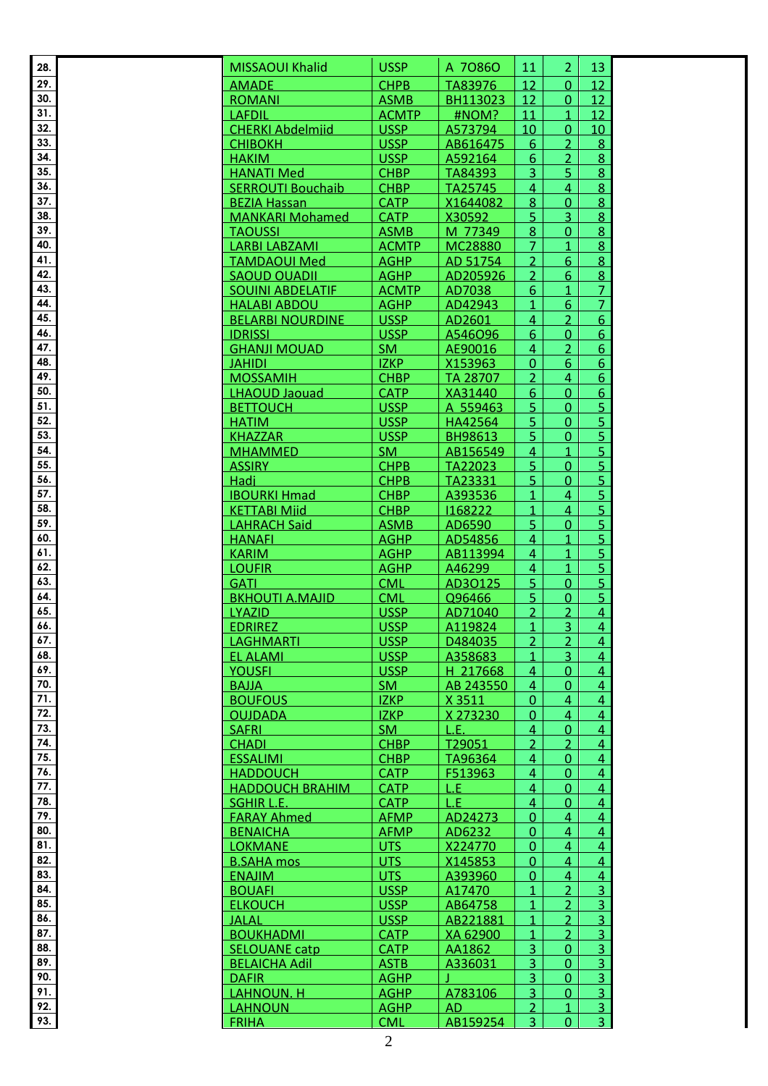| 29.<br>12<br>$\overline{0}$<br>12<br><b>CHPB</b><br>TA83976<br><b>AMADE</b><br>30.<br>12<br>12<br><b>ROMANI</b><br><b>ASMB</b><br>$\overline{0}$<br>BH113023<br>31.<br>12<br><b>LAFDIL</b><br><b>ACMTP</b><br>#NOM?<br>11<br>$\mathbf{1}$<br>32.<br><b>USSP</b><br>10<br><b>CHERKI Abdelmjid</b><br>10<br>A573794<br>$\Omega$<br>33.<br><b>USSP</b><br>$\overline{8}$<br>$\overline{2}$<br><b>CHIBOKH</b><br>AB616475<br>6<br>34.<br>8<br><b>USSP</b><br>6<br>$\overline{2}$<br><b>HAKIM</b><br>A592164<br>35.<br>8<br><b>HANATI Med</b><br><b>CHBP</b><br>3<br>5.<br>TA84393<br>36.<br>$\overline{8}$<br><b>SERROUTI Bouchaib</b><br><b>CHBP</b><br>TA25745<br>4<br>4<br>37.<br>8<br><b>CATP</b><br>X1644082<br>8<br>$\Omega$<br><b>BEZIA Hassan</b><br>38.<br>8<br>$\overline{3}$<br><b>CATP</b><br>5<br><b>MANKARI Mohamed</b><br>X30592<br>39.<br>8 <sup>1</sup><br><b>TAOUSSI</b><br><b>ASMB</b><br>M 77349<br>8<br>$\overline{0}$<br>40.<br>8<br><b>LARBI LABZAMI</b><br>MC28880<br>$\overline{7}$<br>$\mathbf{1}$<br><b>ACMTP</b><br>41.<br>$\overline{2}$<br>8<br>6<br><b>TAMDAOUI Med</b><br><b>AGHP</b><br>AD 51754<br>42.<br>8<br><b>AGHP</b><br>$\overline{2}$<br>6<br><b>SAOUD OUADII</b><br>AD205926<br>43.<br>$\overline{7}$<br><b>SOUINI ABDELATIF</b><br><b>ACMTP</b><br>AD7038<br>6<br>1<br>44.<br>$\overline{7}$<br><b>AGHP</b><br>AD42943<br>$6\phantom{1}$<br><b>HALABI ABDOU</b><br>1<br>45.<br>$\overline{2}$<br>$6\overline{6}$<br><b>USSP</b><br>AD2601<br>4<br><b>BELARBI NOURDINE</b><br>46.<br>6<br><b>USSP</b><br>6<br><b>IDRISSI</b><br>A546O96<br>$\Omega$<br>47.<br>$\overline{2}$<br>$6\phantom{1}$<br><b>GHANJI MOUAD</b><br><b>SM</b><br>AE90016<br>4<br>48.<br>6 <sup>1</sup><br>6<br><b>JAHIDI</b><br><b>IZKP</b><br>$\Omega$<br>X153963<br>49.<br>$\overline{2}$<br>$6\overline{6}$<br><b>MOSSAMIH</b><br><b>CHBP</b><br>TA 28707<br>4<br>50.<br>6<br>6<br><b>CATP</b><br>$\Omega$<br><b>LHAOUD Jaouad</b><br>XA31440<br>51.<br>$\overline{5}$<br><b>USSP</b><br>5<br>$\mathbf{0}$<br><b>BETTOUCH</b><br>A 559463<br>52.<br>5 <sup>1</sup><br>5<br><b>USSP</b><br>$\mathbf{0}$<br><b>HATIM</b><br>HA42564<br>53.<br>$\overline{5}$<br><b>USSP</b><br>5.<br>$\Omega$<br><b>KHAZZAR</b><br><b>BH98613</b><br>54.<br>$\overline{5}$<br><b>SM</b><br>$\mathbf{1}$<br><b>MHAMMED</b><br>AB156549<br>4<br>55.<br>$\overline{5}$<br><b>CHPB</b><br>5<br><b>ASSIRY</b><br>TA22023<br>$\Omega$<br>56.<br>5 <sup>1</sup><br>Hadi<br><b>CHPB</b><br>5<br>$\Omega$<br>TA23331<br>57.<br>5 <sup>1</sup><br><b>IBOURKI Hmad</b><br><b>CHBP</b><br>A393536<br>1<br>$\overline{4}$<br>5 <sup>1</sup><br>58.<br><b>CHBP</b><br>1168222<br>1<br><b>KETTABI Mjid</b><br>$\overline{4}$<br>59.<br>$\overline{5}$<br>$\overline{5}$<br><b>LAHRACH Said</b><br><b>ASMB</b><br>$\mathbf{0}$<br>AD6590<br>60.<br>$\overline{5}$<br><b>AGHP</b><br><b>HANAFI</b><br>AD54856<br>$\overline{4}$<br>1<br>$\overline{5}$<br>61.<br><b>AGHP</b><br>$\overline{4}$<br><b>KARIM</b><br>AB113994<br>1.<br>62.<br>$\overline{5}$<br><b>AGHP</b><br>A46299<br><b>LOUFIR</b><br>$\overline{4}$<br>1<br>63.<br>5<br>5 <sup>1</sup><br><b>CML</b><br>AD30125<br><b>GATI</b><br>$\Omega$<br>64.<br>5 <sup>1</sup><br><b>BKHOUTI A.MAJID</b><br>5.<br>$\Omega$<br><b>CML</b><br>Q96466<br>65.<br>LYAZID<br><b>USSP</b><br>AD71040<br>2<br>2<br>4<br>66.<br>$\overline{3}$<br><b>EDRIREZ</b><br><b>USSP</b><br>A119824<br>$\mathbf{1}$<br>$\overline{4}$<br><b>USSP</b><br>2 <sup>1</sup><br>67.<br><b>LAGHMARTI</b><br>D484035<br>$\overline{2}$<br>$\overline{4}$<br>68.<br>$\overline{3}$<br><b>USSP</b><br>$\overline{4}$<br>A358683<br>$\mathbf{1}$<br><b>EL ALAMI</b><br>69.<br><b>USSP</b><br><b>YOUSFI</b><br>H 217668<br>$\overline{4}$<br>$\Omega$<br>4<br>70.<br><b>SM</b><br><b>BAJJA</b><br>$\Omega$<br>$\overline{4}$<br>AB 243550<br>$\overline{4}$<br>71.<br><b>BOUFOUS</b><br><b>IZKP</b><br>X 3511<br>$\overline{4}$<br>$\Omega$<br>$\overline{4}$<br>72.<br><b>OUJDADA</b><br><b>IZKP</b><br>X 273230<br>$\Omega$<br>$\overline{4}$<br>$\overline{4}$<br>73.<br><b>SAFRI</b><br>SM<br>L.E.<br>$\overline{0}$<br>4<br>4<br>74.<br><b>CHBP</b><br><b>CHADI</b><br>T29051<br>$\overline{\phantom{a}}$<br>$\overline{2}$<br>4<br>75.<br><b>ESSALIMI</b><br><b>CHBP</b><br>TA96364<br>$\Omega$<br>$\overline{4}$<br>4<br>76.<br><b>HADDOUCH</b><br><b>CATP</b><br>F513963<br>$\overline{0}$<br>4<br>$\overline{4}$<br>77.<br>L.E<br><b>HADDOUCH BRAHIM</b><br><b>CATP</b><br>$\overline{4}$<br>$\Omega$<br>$\overline{4}$<br>78.<br>SGHIR L.E.<br><b>CATP</b><br>L.E<br>$\overline{4}$<br>$\Omega$<br>4<br>79.<br><b>AFMP</b><br>AD24273<br>$\overline{4}$<br><b>FARAY Ahmed</b><br>$\Omega$<br>$\overline{4}$<br>80.<br>AD6232<br>$\overline{4}$<br><b>BENAICHA</b><br><b>AFMP</b><br>$\Omega$<br>4<br>81.<br>X224770<br>4<br><b>LOKMANE</b><br>UTS<br>$\Omega$<br>4<br>82.<br>UTS<br>X145853<br>$\Omega$<br>$\overline{4}$<br>$\overline{4}$<br><b>B.SAHA mos</b><br>83.<br>UTS<br>A393960<br>$\overline{4}$<br><b>ENAJIM</b><br>0<br>4<br>84.<br>$\overline{3}$<br><b>USSP</b><br>$\overline{2}$<br><b>BOUAFI</b><br>A17470<br>1<br>$\overline{3}$<br>85.<br>$\overline{2}$<br><b>USSP</b><br><b>ELKOUCH</b><br>AB64758<br>$\mathbf{1}$<br>86.<br>$\overline{3}$<br><b>JALAL</b><br><b>USSP</b><br>$\overline{2}$<br>AB221881<br>$\mathbf{1}$<br>87.<br>$\overline{3}$<br><b>BOUKHADMI</b><br>2 <sup>1</sup><br><b>CATP</b><br>XA 62900<br>$\mathbf{1}$<br>88.<br>$\overline{3}$<br>3<br><b>CATP</b><br><b>SELOUANE catp</b><br>AA1862<br>$\Omega$<br>89.<br>$\overline{3}$<br>3 <sup>1</sup><br><b>ASTB</b><br>$\overline{0}$<br><b>BELAICHA Adil</b><br>A336031<br>90.<br>$\overline{3}$<br>3<br>$\overline{0}$<br><b>DAFIR</b><br><b>AGHP</b><br>91.<br><b>AGHP</b><br>3<br>$\overline{3}$<br>LAHNOUN. H<br>A783106<br>$\Omega$<br>92.<br>$\overline{3}$<br><b>LAHNOUN</b><br><b>AGHP</b><br><b>AD</b><br>2<br>1<br>93.<br>$\overline{3}$<br>AB159254<br><b>FRIHA</b><br><b>CML</b><br>3<br>$\Omega$ | 28. | <b>MISSAOUI Khalid</b> | <b>USSP</b> | A 70860 | <b>11</b> | $\overline{2}$ | 13 |
|-----------------------------------------------------------------------------------------------------------------------------------------------------------------------------------------------------------------------------------------------------------------------------------------------------------------------------------------------------------------------------------------------------------------------------------------------------------------------------------------------------------------------------------------------------------------------------------------------------------------------------------------------------------------------------------------------------------------------------------------------------------------------------------------------------------------------------------------------------------------------------------------------------------------------------------------------------------------------------------------------------------------------------------------------------------------------------------------------------------------------------------------------------------------------------------------------------------------------------------------------------------------------------------------------------------------------------------------------------------------------------------------------------------------------------------------------------------------------------------------------------------------------------------------------------------------------------------------------------------------------------------------------------------------------------------------------------------------------------------------------------------------------------------------------------------------------------------------------------------------------------------------------------------------------------------------------------------------------------------------------------------------------------------------------------------------------------------------------------------------------------------------------------------------------------------------------------------------------------------------------------------------------------------------------------------------------------------------------------------------------------------------------------------------------------------------------------------------------------------------------------------------------------------------------------------------------------------------------------------------------------------------------------------------------------------------------------------------------------------------------------------------------------------------------------------------------------------------------------------------------------------------------------------------------------------------------------------------------------------------------------------------------------------------------------------------------------------------------------------------------------------------------------------------------------------------------------------------------------------------------------------------------------------------------------------------------------------------------------------------------------------------------------------------------------------------------------------------------------------------------------------------------------------------------------------------------------------------------------------------------------------------------------------------------------------------------------------------------------------------------------------------------------------------------------------------------------------------------------------------------------------------------------------------------------------------------------------------------------------------------------------------------------------------------------------------------------------------------------------------------------------------------------------------------------------------------------------------------------------------------------------------------------------------------------------------------------------------------------------------------------------------------------------------------------------------------------------------------------------------------------------------------------------------------------------------------------------------------------------------------------------------------------------------------------------------------------------------------------------------------------------------------------------------------------------------------------------------------------------------------------------------------------------------------------------------------------------------------------------------------------------------------------------------------------------------------------------------------------------------------------------------------------------------------------------------------------------------------------------------------------------------------------------------------------------------------------------------------------------------------------------------------------------------------------------------------------------------------------------------------------------------------------------------------------------------------------------------------------------------------------------------------------------------------------------------------------------------------------------------------------------------------------------------------------------------------------------------------------------------------------------------------------------------------------------------------------------------------------------------------------------------------|-----|------------------------|-------------|---------|-----------|----------------|----|
|                                                                                                                                                                                                                                                                                                                                                                                                                                                                                                                                                                                                                                                                                                                                                                                                                                                                                                                                                                                                                                                                                                                                                                                                                                                                                                                                                                                                                                                                                                                                                                                                                                                                                                                                                                                                                                                                                                                                                                                                                                                                                                                                                                                                                                                                                                                                                                                                                                                                                                                                                                                                                                                                                                                                                                                                                                                                                                                                                                                                                                                                                                                                                                                                                                                                                                                                                                                                                                                                                                                                                                                                                                                                                                                                                                                                                                                                                                                                                                                                                                                                                                                                                                                                                                                                                                                                                                                                                                                                                                                                                                                                                                                                                                                                                                                                                                                                                                                                                                                                                                                                                                                                                                                                                                                                                                                                                                                                                                                                                                                                                                                                                                                                                                                                                                                                                                                                                                                                                                                                                       |     |                        |             |         |           |                |    |
|                                                                                                                                                                                                                                                                                                                                                                                                                                                                                                                                                                                                                                                                                                                                                                                                                                                                                                                                                                                                                                                                                                                                                                                                                                                                                                                                                                                                                                                                                                                                                                                                                                                                                                                                                                                                                                                                                                                                                                                                                                                                                                                                                                                                                                                                                                                                                                                                                                                                                                                                                                                                                                                                                                                                                                                                                                                                                                                                                                                                                                                                                                                                                                                                                                                                                                                                                                                                                                                                                                                                                                                                                                                                                                                                                                                                                                                                                                                                                                                                                                                                                                                                                                                                                                                                                                                                                                                                                                                                                                                                                                                                                                                                                                                                                                                                                                                                                                                                                                                                                                                                                                                                                                                                                                                                                                                                                                                                                                                                                                                                                                                                                                                                                                                                                                                                                                                                                                                                                                                                                       |     |                        |             |         |           |                |    |
|                                                                                                                                                                                                                                                                                                                                                                                                                                                                                                                                                                                                                                                                                                                                                                                                                                                                                                                                                                                                                                                                                                                                                                                                                                                                                                                                                                                                                                                                                                                                                                                                                                                                                                                                                                                                                                                                                                                                                                                                                                                                                                                                                                                                                                                                                                                                                                                                                                                                                                                                                                                                                                                                                                                                                                                                                                                                                                                                                                                                                                                                                                                                                                                                                                                                                                                                                                                                                                                                                                                                                                                                                                                                                                                                                                                                                                                                                                                                                                                                                                                                                                                                                                                                                                                                                                                                                                                                                                                                                                                                                                                                                                                                                                                                                                                                                                                                                                                                                                                                                                                                                                                                                                                                                                                                                                                                                                                                                                                                                                                                                                                                                                                                                                                                                                                                                                                                                                                                                                                                                       |     |                        |             |         |           |                |    |
|                                                                                                                                                                                                                                                                                                                                                                                                                                                                                                                                                                                                                                                                                                                                                                                                                                                                                                                                                                                                                                                                                                                                                                                                                                                                                                                                                                                                                                                                                                                                                                                                                                                                                                                                                                                                                                                                                                                                                                                                                                                                                                                                                                                                                                                                                                                                                                                                                                                                                                                                                                                                                                                                                                                                                                                                                                                                                                                                                                                                                                                                                                                                                                                                                                                                                                                                                                                                                                                                                                                                                                                                                                                                                                                                                                                                                                                                                                                                                                                                                                                                                                                                                                                                                                                                                                                                                                                                                                                                                                                                                                                                                                                                                                                                                                                                                                                                                                                                                                                                                                                                                                                                                                                                                                                                                                                                                                                                                                                                                                                                                                                                                                                                                                                                                                                                                                                                                                                                                                                                                       |     |                        |             |         |           |                |    |
|                                                                                                                                                                                                                                                                                                                                                                                                                                                                                                                                                                                                                                                                                                                                                                                                                                                                                                                                                                                                                                                                                                                                                                                                                                                                                                                                                                                                                                                                                                                                                                                                                                                                                                                                                                                                                                                                                                                                                                                                                                                                                                                                                                                                                                                                                                                                                                                                                                                                                                                                                                                                                                                                                                                                                                                                                                                                                                                                                                                                                                                                                                                                                                                                                                                                                                                                                                                                                                                                                                                                                                                                                                                                                                                                                                                                                                                                                                                                                                                                                                                                                                                                                                                                                                                                                                                                                                                                                                                                                                                                                                                                                                                                                                                                                                                                                                                                                                                                                                                                                                                                                                                                                                                                                                                                                                                                                                                                                                                                                                                                                                                                                                                                                                                                                                                                                                                                                                                                                                                                                       |     |                        |             |         |           |                |    |
|                                                                                                                                                                                                                                                                                                                                                                                                                                                                                                                                                                                                                                                                                                                                                                                                                                                                                                                                                                                                                                                                                                                                                                                                                                                                                                                                                                                                                                                                                                                                                                                                                                                                                                                                                                                                                                                                                                                                                                                                                                                                                                                                                                                                                                                                                                                                                                                                                                                                                                                                                                                                                                                                                                                                                                                                                                                                                                                                                                                                                                                                                                                                                                                                                                                                                                                                                                                                                                                                                                                                                                                                                                                                                                                                                                                                                                                                                                                                                                                                                                                                                                                                                                                                                                                                                                                                                                                                                                                                                                                                                                                                                                                                                                                                                                                                                                                                                                                                                                                                                                                                                                                                                                                                                                                                                                                                                                                                                                                                                                                                                                                                                                                                                                                                                                                                                                                                                                                                                                                                                       |     |                        |             |         |           |                |    |
|                                                                                                                                                                                                                                                                                                                                                                                                                                                                                                                                                                                                                                                                                                                                                                                                                                                                                                                                                                                                                                                                                                                                                                                                                                                                                                                                                                                                                                                                                                                                                                                                                                                                                                                                                                                                                                                                                                                                                                                                                                                                                                                                                                                                                                                                                                                                                                                                                                                                                                                                                                                                                                                                                                                                                                                                                                                                                                                                                                                                                                                                                                                                                                                                                                                                                                                                                                                                                                                                                                                                                                                                                                                                                                                                                                                                                                                                                                                                                                                                                                                                                                                                                                                                                                                                                                                                                                                                                                                                                                                                                                                                                                                                                                                                                                                                                                                                                                                                                                                                                                                                                                                                                                                                                                                                                                                                                                                                                                                                                                                                                                                                                                                                                                                                                                                                                                                                                                                                                                                                                       |     |                        |             |         |           |                |    |
|                                                                                                                                                                                                                                                                                                                                                                                                                                                                                                                                                                                                                                                                                                                                                                                                                                                                                                                                                                                                                                                                                                                                                                                                                                                                                                                                                                                                                                                                                                                                                                                                                                                                                                                                                                                                                                                                                                                                                                                                                                                                                                                                                                                                                                                                                                                                                                                                                                                                                                                                                                                                                                                                                                                                                                                                                                                                                                                                                                                                                                                                                                                                                                                                                                                                                                                                                                                                                                                                                                                                                                                                                                                                                                                                                                                                                                                                                                                                                                                                                                                                                                                                                                                                                                                                                                                                                                                                                                                                                                                                                                                                                                                                                                                                                                                                                                                                                                                                                                                                                                                                                                                                                                                                                                                                                                                                                                                                                                                                                                                                                                                                                                                                                                                                                                                                                                                                                                                                                                                                                       |     |                        |             |         |           |                |    |
|                                                                                                                                                                                                                                                                                                                                                                                                                                                                                                                                                                                                                                                                                                                                                                                                                                                                                                                                                                                                                                                                                                                                                                                                                                                                                                                                                                                                                                                                                                                                                                                                                                                                                                                                                                                                                                                                                                                                                                                                                                                                                                                                                                                                                                                                                                                                                                                                                                                                                                                                                                                                                                                                                                                                                                                                                                                                                                                                                                                                                                                                                                                                                                                                                                                                                                                                                                                                                                                                                                                                                                                                                                                                                                                                                                                                                                                                                                                                                                                                                                                                                                                                                                                                                                                                                                                                                                                                                                                                                                                                                                                                                                                                                                                                                                                                                                                                                                                                                                                                                                                                                                                                                                                                                                                                                                                                                                                                                                                                                                                                                                                                                                                                                                                                                                                                                                                                                                                                                                                                                       |     |                        |             |         |           |                |    |
|                                                                                                                                                                                                                                                                                                                                                                                                                                                                                                                                                                                                                                                                                                                                                                                                                                                                                                                                                                                                                                                                                                                                                                                                                                                                                                                                                                                                                                                                                                                                                                                                                                                                                                                                                                                                                                                                                                                                                                                                                                                                                                                                                                                                                                                                                                                                                                                                                                                                                                                                                                                                                                                                                                                                                                                                                                                                                                                                                                                                                                                                                                                                                                                                                                                                                                                                                                                                                                                                                                                                                                                                                                                                                                                                                                                                                                                                                                                                                                                                                                                                                                                                                                                                                                                                                                                                                                                                                                                                                                                                                                                                                                                                                                                                                                                                                                                                                                                                                                                                                                                                                                                                                                                                                                                                                                                                                                                                                                                                                                                                                                                                                                                                                                                                                                                                                                                                                                                                                                                                                       |     |                        |             |         |           |                |    |
|                                                                                                                                                                                                                                                                                                                                                                                                                                                                                                                                                                                                                                                                                                                                                                                                                                                                                                                                                                                                                                                                                                                                                                                                                                                                                                                                                                                                                                                                                                                                                                                                                                                                                                                                                                                                                                                                                                                                                                                                                                                                                                                                                                                                                                                                                                                                                                                                                                                                                                                                                                                                                                                                                                                                                                                                                                                                                                                                                                                                                                                                                                                                                                                                                                                                                                                                                                                                                                                                                                                                                                                                                                                                                                                                                                                                                                                                                                                                                                                                                                                                                                                                                                                                                                                                                                                                                                                                                                                                                                                                                                                                                                                                                                                                                                                                                                                                                                                                                                                                                                                                                                                                                                                                                                                                                                                                                                                                                                                                                                                                                                                                                                                                                                                                                                                                                                                                                                                                                                                                                       |     |                        |             |         |           |                |    |
|                                                                                                                                                                                                                                                                                                                                                                                                                                                                                                                                                                                                                                                                                                                                                                                                                                                                                                                                                                                                                                                                                                                                                                                                                                                                                                                                                                                                                                                                                                                                                                                                                                                                                                                                                                                                                                                                                                                                                                                                                                                                                                                                                                                                                                                                                                                                                                                                                                                                                                                                                                                                                                                                                                                                                                                                                                                                                                                                                                                                                                                                                                                                                                                                                                                                                                                                                                                                                                                                                                                                                                                                                                                                                                                                                                                                                                                                                                                                                                                                                                                                                                                                                                                                                                                                                                                                                                                                                                                                                                                                                                                                                                                                                                                                                                                                                                                                                                                                                                                                                                                                                                                                                                                                                                                                                                                                                                                                                                                                                                                                                                                                                                                                                                                                                                                                                                                                                                                                                                                                                       |     |                        |             |         |           |                |    |
|                                                                                                                                                                                                                                                                                                                                                                                                                                                                                                                                                                                                                                                                                                                                                                                                                                                                                                                                                                                                                                                                                                                                                                                                                                                                                                                                                                                                                                                                                                                                                                                                                                                                                                                                                                                                                                                                                                                                                                                                                                                                                                                                                                                                                                                                                                                                                                                                                                                                                                                                                                                                                                                                                                                                                                                                                                                                                                                                                                                                                                                                                                                                                                                                                                                                                                                                                                                                                                                                                                                                                                                                                                                                                                                                                                                                                                                                                                                                                                                                                                                                                                                                                                                                                                                                                                                                                                                                                                                                                                                                                                                                                                                                                                                                                                                                                                                                                                                                                                                                                                                                                                                                                                                                                                                                                                                                                                                                                                                                                                                                                                                                                                                                                                                                                                                                                                                                                                                                                                                                                       |     |                        |             |         |           |                |    |
|                                                                                                                                                                                                                                                                                                                                                                                                                                                                                                                                                                                                                                                                                                                                                                                                                                                                                                                                                                                                                                                                                                                                                                                                                                                                                                                                                                                                                                                                                                                                                                                                                                                                                                                                                                                                                                                                                                                                                                                                                                                                                                                                                                                                                                                                                                                                                                                                                                                                                                                                                                                                                                                                                                                                                                                                                                                                                                                                                                                                                                                                                                                                                                                                                                                                                                                                                                                                                                                                                                                                                                                                                                                                                                                                                                                                                                                                                                                                                                                                                                                                                                                                                                                                                                                                                                                                                                                                                                                                                                                                                                                                                                                                                                                                                                                                                                                                                                                                                                                                                                                                                                                                                                                                                                                                                                                                                                                                                                                                                                                                                                                                                                                                                                                                                                                                                                                                                                                                                                                                                       |     |                        |             |         |           |                |    |
|                                                                                                                                                                                                                                                                                                                                                                                                                                                                                                                                                                                                                                                                                                                                                                                                                                                                                                                                                                                                                                                                                                                                                                                                                                                                                                                                                                                                                                                                                                                                                                                                                                                                                                                                                                                                                                                                                                                                                                                                                                                                                                                                                                                                                                                                                                                                                                                                                                                                                                                                                                                                                                                                                                                                                                                                                                                                                                                                                                                                                                                                                                                                                                                                                                                                                                                                                                                                                                                                                                                                                                                                                                                                                                                                                                                                                                                                                                                                                                                                                                                                                                                                                                                                                                                                                                                                                                                                                                                                                                                                                                                                                                                                                                                                                                                                                                                                                                                                                                                                                                                                                                                                                                                                                                                                                                                                                                                                                                                                                                                                                                                                                                                                                                                                                                                                                                                                                                                                                                                                                       |     |                        |             |         |           |                |    |
|                                                                                                                                                                                                                                                                                                                                                                                                                                                                                                                                                                                                                                                                                                                                                                                                                                                                                                                                                                                                                                                                                                                                                                                                                                                                                                                                                                                                                                                                                                                                                                                                                                                                                                                                                                                                                                                                                                                                                                                                                                                                                                                                                                                                                                                                                                                                                                                                                                                                                                                                                                                                                                                                                                                                                                                                                                                                                                                                                                                                                                                                                                                                                                                                                                                                                                                                                                                                                                                                                                                                                                                                                                                                                                                                                                                                                                                                                                                                                                                                                                                                                                                                                                                                                                                                                                                                                                                                                                                                                                                                                                                                                                                                                                                                                                                                                                                                                                                                                                                                                                                                                                                                                                                                                                                                                                                                                                                                                                                                                                                                                                                                                                                                                                                                                                                                                                                                                                                                                                                                                       |     |                        |             |         |           |                |    |
|                                                                                                                                                                                                                                                                                                                                                                                                                                                                                                                                                                                                                                                                                                                                                                                                                                                                                                                                                                                                                                                                                                                                                                                                                                                                                                                                                                                                                                                                                                                                                                                                                                                                                                                                                                                                                                                                                                                                                                                                                                                                                                                                                                                                                                                                                                                                                                                                                                                                                                                                                                                                                                                                                                                                                                                                                                                                                                                                                                                                                                                                                                                                                                                                                                                                                                                                                                                                                                                                                                                                                                                                                                                                                                                                                                                                                                                                                                                                                                                                                                                                                                                                                                                                                                                                                                                                                                                                                                                                                                                                                                                                                                                                                                                                                                                                                                                                                                                                                                                                                                                                                                                                                                                                                                                                                                                                                                                                                                                                                                                                                                                                                                                                                                                                                                                                                                                                                                                                                                                                                       |     |                        |             |         |           |                |    |
|                                                                                                                                                                                                                                                                                                                                                                                                                                                                                                                                                                                                                                                                                                                                                                                                                                                                                                                                                                                                                                                                                                                                                                                                                                                                                                                                                                                                                                                                                                                                                                                                                                                                                                                                                                                                                                                                                                                                                                                                                                                                                                                                                                                                                                                                                                                                                                                                                                                                                                                                                                                                                                                                                                                                                                                                                                                                                                                                                                                                                                                                                                                                                                                                                                                                                                                                                                                                                                                                                                                                                                                                                                                                                                                                                                                                                                                                                                                                                                                                                                                                                                                                                                                                                                                                                                                                                                                                                                                                                                                                                                                                                                                                                                                                                                                                                                                                                                                                                                                                                                                                                                                                                                                                                                                                                                                                                                                                                                                                                                                                                                                                                                                                                                                                                                                                                                                                                                                                                                                                                       |     |                        |             |         |           |                |    |
|                                                                                                                                                                                                                                                                                                                                                                                                                                                                                                                                                                                                                                                                                                                                                                                                                                                                                                                                                                                                                                                                                                                                                                                                                                                                                                                                                                                                                                                                                                                                                                                                                                                                                                                                                                                                                                                                                                                                                                                                                                                                                                                                                                                                                                                                                                                                                                                                                                                                                                                                                                                                                                                                                                                                                                                                                                                                                                                                                                                                                                                                                                                                                                                                                                                                                                                                                                                                                                                                                                                                                                                                                                                                                                                                                                                                                                                                                                                                                                                                                                                                                                                                                                                                                                                                                                                                                                                                                                                                                                                                                                                                                                                                                                                                                                                                                                                                                                                                                                                                                                                                                                                                                                                                                                                                                                                                                                                                                                                                                                                                                                                                                                                                                                                                                                                                                                                                                                                                                                                                                       |     |                        |             |         |           |                |    |
|                                                                                                                                                                                                                                                                                                                                                                                                                                                                                                                                                                                                                                                                                                                                                                                                                                                                                                                                                                                                                                                                                                                                                                                                                                                                                                                                                                                                                                                                                                                                                                                                                                                                                                                                                                                                                                                                                                                                                                                                                                                                                                                                                                                                                                                                                                                                                                                                                                                                                                                                                                                                                                                                                                                                                                                                                                                                                                                                                                                                                                                                                                                                                                                                                                                                                                                                                                                                                                                                                                                                                                                                                                                                                                                                                                                                                                                                                                                                                                                                                                                                                                                                                                                                                                                                                                                                                                                                                                                                                                                                                                                                                                                                                                                                                                                                                                                                                                                                                                                                                                                                                                                                                                                                                                                                                                                                                                                                                                                                                                                                                                                                                                                                                                                                                                                                                                                                                                                                                                                                                       |     |                        |             |         |           |                |    |
|                                                                                                                                                                                                                                                                                                                                                                                                                                                                                                                                                                                                                                                                                                                                                                                                                                                                                                                                                                                                                                                                                                                                                                                                                                                                                                                                                                                                                                                                                                                                                                                                                                                                                                                                                                                                                                                                                                                                                                                                                                                                                                                                                                                                                                                                                                                                                                                                                                                                                                                                                                                                                                                                                                                                                                                                                                                                                                                                                                                                                                                                                                                                                                                                                                                                                                                                                                                                                                                                                                                                                                                                                                                                                                                                                                                                                                                                                                                                                                                                                                                                                                                                                                                                                                                                                                                                                                                                                                                                                                                                                                                                                                                                                                                                                                                                                                                                                                                                                                                                                                                                                                                                                                                                                                                                                                                                                                                                                                                                                                                                                                                                                                                                                                                                                                                                                                                                                                                                                                                                                       |     |                        |             |         |           |                |    |
|                                                                                                                                                                                                                                                                                                                                                                                                                                                                                                                                                                                                                                                                                                                                                                                                                                                                                                                                                                                                                                                                                                                                                                                                                                                                                                                                                                                                                                                                                                                                                                                                                                                                                                                                                                                                                                                                                                                                                                                                                                                                                                                                                                                                                                                                                                                                                                                                                                                                                                                                                                                                                                                                                                                                                                                                                                                                                                                                                                                                                                                                                                                                                                                                                                                                                                                                                                                                                                                                                                                                                                                                                                                                                                                                                                                                                                                                                                                                                                                                                                                                                                                                                                                                                                                                                                                                                                                                                                                                                                                                                                                                                                                                                                                                                                                                                                                                                                                                                                                                                                                                                                                                                                                                                                                                                                                                                                                                                                                                                                                                                                                                                                                                                                                                                                                                                                                                                                                                                                                                                       |     |                        |             |         |           |                |    |
|                                                                                                                                                                                                                                                                                                                                                                                                                                                                                                                                                                                                                                                                                                                                                                                                                                                                                                                                                                                                                                                                                                                                                                                                                                                                                                                                                                                                                                                                                                                                                                                                                                                                                                                                                                                                                                                                                                                                                                                                                                                                                                                                                                                                                                                                                                                                                                                                                                                                                                                                                                                                                                                                                                                                                                                                                                                                                                                                                                                                                                                                                                                                                                                                                                                                                                                                                                                                                                                                                                                                                                                                                                                                                                                                                                                                                                                                                                                                                                                                                                                                                                                                                                                                                                                                                                                                                                                                                                                                                                                                                                                                                                                                                                                                                                                                                                                                                                                                                                                                                                                                                                                                                                                                                                                                                                                                                                                                                                                                                                                                                                                                                                                                                                                                                                                                                                                                                                                                                                                                                       |     |                        |             |         |           |                |    |
|                                                                                                                                                                                                                                                                                                                                                                                                                                                                                                                                                                                                                                                                                                                                                                                                                                                                                                                                                                                                                                                                                                                                                                                                                                                                                                                                                                                                                                                                                                                                                                                                                                                                                                                                                                                                                                                                                                                                                                                                                                                                                                                                                                                                                                                                                                                                                                                                                                                                                                                                                                                                                                                                                                                                                                                                                                                                                                                                                                                                                                                                                                                                                                                                                                                                                                                                                                                                                                                                                                                                                                                                                                                                                                                                                                                                                                                                                                                                                                                                                                                                                                                                                                                                                                                                                                                                                                                                                                                                                                                                                                                                                                                                                                                                                                                                                                                                                                                                                                                                                                                                                                                                                                                                                                                                                                                                                                                                                                                                                                                                                                                                                                                                                                                                                                                                                                                                                                                                                                                                                       |     |                        |             |         |           |                |    |
|                                                                                                                                                                                                                                                                                                                                                                                                                                                                                                                                                                                                                                                                                                                                                                                                                                                                                                                                                                                                                                                                                                                                                                                                                                                                                                                                                                                                                                                                                                                                                                                                                                                                                                                                                                                                                                                                                                                                                                                                                                                                                                                                                                                                                                                                                                                                                                                                                                                                                                                                                                                                                                                                                                                                                                                                                                                                                                                                                                                                                                                                                                                                                                                                                                                                                                                                                                                                                                                                                                                                                                                                                                                                                                                                                                                                                                                                                                                                                                                                                                                                                                                                                                                                                                                                                                                                                                                                                                                                                                                                                                                                                                                                                                                                                                                                                                                                                                                                                                                                                                                                                                                                                                                                                                                                                                                                                                                                                                                                                                                                                                                                                                                                                                                                                                                                                                                                                                                                                                                                                       |     |                        |             |         |           |                |    |
|                                                                                                                                                                                                                                                                                                                                                                                                                                                                                                                                                                                                                                                                                                                                                                                                                                                                                                                                                                                                                                                                                                                                                                                                                                                                                                                                                                                                                                                                                                                                                                                                                                                                                                                                                                                                                                                                                                                                                                                                                                                                                                                                                                                                                                                                                                                                                                                                                                                                                                                                                                                                                                                                                                                                                                                                                                                                                                                                                                                                                                                                                                                                                                                                                                                                                                                                                                                                                                                                                                                                                                                                                                                                                                                                                                                                                                                                                                                                                                                                                                                                                                                                                                                                                                                                                                                                                                                                                                                                                                                                                                                                                                                                                                                                                                                                                                                                                                                                                                                                                                                                                                                                                                                                                                                                                                                                                                                                                                                                                                                                                                                                                                                                                                                                                                                                                                                                                                                                                                                                                       |     |                        |             |         |           |                |    |
|                                                                                                                                                                                                                                                                                                                                                                                                                                                                                                                                                                                                                                                                                                                                                                                                                                                                                                                                                                                                                                                                                                                                                                                                                                                                                                                                                                                                                                                                                                                                                                                                                                                                                                                                                                                                                                                                                                                                                                                                                                                                                                                                                                                                                                                                                                                                                                                                                                                                                                                                                                                                                                                                                                                                                                                                                                                                                                                                                                                                                                                                                                                                                                                                                                                                                                                                                                                                                                                                                                                                                                                                                                                                                                                                                                                                                                                                                                                                                                                                                                                                                                                                                                                                                                                                                                                                                                                                                                                                                                                                                                                                                                                                                                                                                                                                                                                                                                                                                                                                                                                                                                                                                                                                                                                                                                                                                                                                                                                                                                                                                                                                                                                                                                                                                                                                                                                                                                                                                                                                                       |     |                        |             |         |           |                |    |
|                                                                                                                                                                                                                                                                                                                                                                                                                                                                                                                                                                                                                                                                                                                                                                                                                                                                                                                                                                                                                                                                                                                                                                                                                                                                                                                                                                                                                                                                                                                                                                                                                                                                                                                                                                                                                                                                                                                                                                                                                                                                                                                                                                                                                                                                                                                                                                                                                                                                                                                                                                                                                                                                                                                                                                                                                                                                                                                                                                                                                                                                                                                                                                                                                                                                                                                                                                                                                                                                                                                                                                                                                                                                                                                                                                                                                                                                                                                                                                                                                                                                                                                                                                                                                                                                                                                                                                                                                                                                                                                                                                                                                                                                                                                                                                                                                                                                                                                                                                                                                                                                                                                                                                                                                                                                                                                                                                                                                                                                                                                                                                                                                                                                                                                                                                                                                                                                                                                                                                                                                       |     |                        |             |         |           |                |    |
|                                                                                                                                                                                                                                                                                                                                                                                                                                                                                                                                                                                                                                                                                                                                                                                                                                                                                                                                                                                                                                                                                                                                                                                                                                                                                                                                                                                                                                                                                                                                                                                                                                                                                                                                                                                                                                                                                                                                                                                                                                                                                                                                                                                                                                                                                                                                                                                                                                                                                                                                                                                                                                                                                                                                                                                                                                                                                                                                                                                                                                                                                                                                                                                                                                                                                                                                                                                                                                                                                                                                                                                                                                                                                                                                                                                                                                                                                                                                                                                                                                                                                                                                                                                                                                                                                                                                                                                                                                                                                                                                                                                                                                                                                                                                                                                                                                                                                                                                                                                                                                                                                                                                                                                                                                                                                                                                                                                                                                                                                                                                                                                                                                                                                                                                                                                                                                                                                                                                                                                                                       |     |                        |             |         |           |                |    |
|                                                                                                                                                                                                                                                                                                                                                                                                                                                                                                                                                                                                                                                                                                                                                                                                                                                                                                                                                                                                                                                                                                                                                                                                                                                                                                                                                                                                                                                                                                                                                                                                                                                                                                                                                                                                                                                                                                                                                                                                                                                                                                                                                                                                                                                                                                                                                                                                                                                                                                                                                                                                                                                                                                                                                                                                                                                                                                                                                                                                                                                                                                                                                                                                                                                                                                                                                                                                                                                                                                                                                                                                                                                                                                                                                                                                                                                                                                                                                                                                                                                                                                                                                                                                                                                                                                                                                                                                                                                                                                                                                                                                                                                                                                                                                                                                                                                                                                                                                                                                                                                                                                                                                                                                                                                                                                                                                                                                                                                                                                                                                                                                                                                                                                                                                                                                                                                                                                                                                                                                                       |     |                        |             |         |           |                |    |
|                                                                                                                                                                                                                                                                                                                                                                                                                                                                                                                                                                                                                                                                                                                                                                                                                                                                                                                                                                                                                                                                                                                                                                                                                                                                                                                                                                                                                                                                                                                                                                                                                                                                                                                                                                                                                                                                                                                                                                                                                                                                                                                                                                                                                                                                                                                                                                                                                                                                                                                                                                                                                                                                                                                                                                                                                                                                                                                                                                                                                                                                                                                                                                                                                                                                                                                                                                                                                                                                                                                                                                                                                                                                                                                                                                                                                                                                                                                                                                                                                                                                                                                                                                                                                                                                                                                                                                                                                                                                                                                                                                                                                                                                                                                                                                                                                                                                                                                                                                                                                                                                                                                                                                                                                                                                                                                                                                                                                                                                                                                                                                                                                                                                                                                                                                                                                                                                                                                                                                                                                       |     |                        |             |         |           |                |    |
|                                                                                                                                                                                                                                                                                                                                                                                                                                                                                                                                                                                                                                                                                                                                                                                                                                                                                                                                                                                                                                                                                                                                                                                                                                                                                                                                                                                                                                                                                                                                                                                                                                                                                                                                                                                                                                                                                                                                                                                                                                                                                                                                                                                                                                                                                                                                                                                                                                                                                                                                                                                                                                                                                                                                                                                                                                                                                                                                                                                                                                                                                                                                                                                                                                                                                                                                                                                                                                                                                                                                                                                                                                                                                                                                                                                                                                                                                                                                                                                                                                                                                                                                                                                                                                                                                                                                                                                                                                                                                                                                                                                                                                                                                                                                                                                                                                                                                                                                                                                                                                                                                                                                                                                                                                                                                                                                                                                                                                                                                                                                                                                                                                                                                                                                                                                                                                                                                                                                                                                                                       |     |                        |             |         |           |                |    |
|                                                                                                                                                                                                                                                                                                                                                                                                                                                                                                                                                                                                                                                                                                                                                                                                                                                                                                                                                                                                                                                                                                                                                                                                                                                                                                                                                                                                                                                                                                                                                                                                                                                                                                                                                                                                                                                                                                                                                                                                                                                                                                                                                                                                                                                                                                                                                                                                                                                                                                                                                                                                                                                                                                                                                                                                                                                                                                                                                                                                                                                                                                                                                                                                                                                                                                                                                                                                                                                                                                                                                                                                                                                                                                                                                                                                                                                                                                                                                                                                                                                                                                                                                                                                                                                                                                                                                                                                                                                                                                                                                                                                                                                                                                                                                                                                                                                                                                                                                                                                                                                                                                                                                                                                                                                                                                                                                                                                                                                                                                                                                                                                                                                                                                                                                                                                                                                                                                                                                                                                                       |     |                        |             |         |           |                |    |
|                                                                                                                                                                                                                                                                                                                                                                                                                                                                                                                                                                                                                                                                                                                                                                                                                                                                                                                                                                                                                                                                                                                                                                                                                                                                                                                                                                                                                                                                                                                                                                                                                                                                                                                                                                                                                                                                                                                                                                                                                                                                                                                                                                                                                                                                                                                                                                                                                                                                                                                                                                                                                                                                                                                                                                                                                                                                                                                                                                                                                                                                                                                                                                                                                                                                                                                                                                                                                                                                                                                                                                                                                                                                                                                                                                                                                                                                                                                                                                                                                                                                                                                                                                                                                                                                                                                                                                                                                                                                                                                                                                                                                                                                                                                                                                                                                                                                                                                                                                                                                                                                                                                                                                                                                                                                                                                                                                                                                                                                                                                                                                                                                                                                                                                                                                                                                                                                                                                                                                                                                       |     |                        |             |         |           |                |    |
|                                                                                                                                                                                                                                                                                                                                                                                                                                                                                                                                                                                                                                                                                                                                                                                                                                                                                                                                                                                                                                                                                                                                                                                                                                                                                                                                                                                                                                                                                                                                                                                                                                                                                                                                                                                                                                                                                                                                                                                                                                                                                                                                                                                                                                                                                                                                                                                                                                                                                                                                                                                                                                                                                                                                                                                                                                                                                                                                                                                                                                                                                                                                                                                                                                                                                                                                                                                                                                                                                                                                                                                                                                                                                                                                                                                                                                                                                                                                                                                                                                                                                                                                                                                                                                                                                                                                                                                                                                                                                                                                                                                                                                                                                                                                                                                                                                                                                                                                                                                                                                                                                                                                                                                                                                                                                                                                                                                                                                                                                                                                                                                                                                                                                                                                                                                                                                                                                                                                                                                                                       |     |                        |             |         |           |                |    |
|                                                                                                                                                                                                                                                                                                                                                                                                                                                                                                                                                                                                                                                                                                                                                                                                                                                                                                                                                                                                                                                                                                                                                                                                                                                                                                                                                                                                                                                                                                                                                                                                                                                                                                                                                                                                                                                                                                                                                                                                                                                                                                                                                                                                                                                                                                                                                                                                                                                                                                                                                                                                                                                                                                                                                                                                                                                                                                                                                                                                                                                                                                                                                                                                                                                                                                                                                                                                                                                                                                                                                                                                                                                                                                                                                                                                                                                                                                                                                                                                                                                                                                                                                                                                                                                                                                                                                                                                                                                                                                                                                                                                                                                                                                                                                                                                                                                                                                                                                                                                                                                                                                                                                                                                                                                                                                                                                                                                                                                                                                                                                                                                                                                                                                                                                                                                                                                                                                                                                                                                                       |     |                        |             |         |           |                |    |
|                                                                                                                                                                                                                                                                                                                                                                                                                                                                                                                                                                                                                                                                                                                                                                                                                                                                                                                                                                                                                                                                                                                                                                                                                                                                                                                                                                                                                                                                                                                                                                                                                                                                                                                                                                                                                                                                                                                                                                                                                                                                                                                                                                                                                                                                                                                                                                                                                                                                                                                                                                                                                                                                                                                                                                                                                                                                                                                                                                                                                                                                                                                                                                                                                                                                                                                                                                                                                                                                                                                                                                                                                                                                                                                                                                                                                                                                                                                                                                                                                                                                                                                                                                                                                                                                                                                                                                                                                                                                                                                                                                                                                                                                                                                                                                                                                                                                                                                                                                                                                                                                                                                                                                                                                                                                                                                                                                                                                                                                                                                                                                                                                                                                                                                                                                                                                                                                                                                                                                                                                       |     |                        |             |         |           |                |    |
|                                                                                                                                                                                                                                                                                                                                                                                                                                                                                                                                                                                                                                                                                                                                                                                                                                                                                                                                                                                                                                                                                                                                                                                                                                                                                                                                                                                                                                                                                                                                                                                                                                                                                                                                                                                                                                                                                                                                                                                                                                                                                                                                                                                                                                                                                                                                                                                                                                                                                                                                                                                                                                                                                                                                                                                                                                                                                                                                                                                                                                                                                                                                                                                                                                                                                                                                                                                                                                                                                                                                                                                                                                                                                                                                                                                                                                                                                                                                                                                                                                                                                                                                                                                                                                                                                                                                                                                                                                                                                                                                                                                                                                                                                                                                                                                                                                                                                                                                                                                                                                                                                                                                                                                                                                                                                                                                                                                                                                                                                                                                                                                                                                                                                                                                                                                                                                                                                                                                                                                                                       |     |                        |             |         |           |                |    |
|                                                                                                                                                                                                                                                                                                                                                                                                                                                                                                                                                                                                                                                                                                                                                                                                                                                                                                                                                                                                                                                                                                                                                                                                                                                                                                                                                                                                                                                                                                                                                                                                                                                                                                                                                                                                                                                                                                                                                                                                                                                                                                                                                                                                                                                                                                                                                                                                                                                                                                                                                                                                                                                                                                                                                                                                                                                                                                                                                                                                                                                                                                                                                                                                                                                                                                                                                                                                                                                                                                                                                                                                                                                                                                                                                                                                                                                                                                                                                                                                                                                                                                                                                                                                                                                                                                                                                                                                                                                                                                                                                                                                                                                                                                                                                                                                                                                                                                                                                                                                                                                                                                                                                                                                                                                                                                                                                                                                                                                                                                                                                                                                                                                                                                                                                                                                                                                                                                                                                                                                                       |     |                        |             |         |           |                |    |
|                                                                                                                                                                                                                                                                                                                                                                                                                                                                                                                                                                                                                                                                                                                                                                                                                                                                                                                                                                                                                                                                                                                                                                                                                                                                                                                                                                                                                                                                                                                                                                                                                                                                                                                                                                                                                                                                                                                                                                                                                                                                                                                                                                                                                                                                                                                                                                                                                                                                                                                                                                                                                                                                                                                                                                                                                                                                                                                                                                                                                                                                                                                                                                                                                                                                                                                                                                                                                                                                                                                                                                                                                                                                                                                                                                                                                                                                                                                                                                                                                                                                                                                                                                                                                                                                                                                                                                                                                                                                                                                                                                                                                                                                                                                                                                                                                                                                                                                                                                                                                                                                                                                                                                                                                                                                                                                                                                                                                                                                                                                                                                                                                                                                                                                                                                                                                                                                                                                                                                                                                       |     |                        |             |         |           |                |    |
|                                                                                                                                                                                                                                                                                                                                                                                                                                                                                                                                                                                                                                                                                                                                                                                                                                                                                                                                                                                                                                                                                                                                                                                                                                                                                                                                                                                                                                                                                                                                                                                                                                                                                                                                                                                                                                                                                                                                                                                                                                                                                                                                                                                                                                                                                                                                                                                                                                                                                                                                                                                                                                                                                                                                                                                                                                                                                                                                                                                                                                                                                                                                                                                                                                                                                                                                                                                                                                                                                                                                                                                                                                                                                                                                                                                                                                                                                                                                                                                                                                                                                                                                                                                                                                                                                                                                                                                                                                                                                                                                                                                                                                                                                                                                                                                                                                                                                                                                                                                                                                                                                                                                                                                                                                                                                                                                                                                                                                                                                                                                                                                                                                                                                                                                                                                                                                                                                                                                                                                                                       |     |                        |             |         |           |                |    |
|                                                                                                                                                                                                                                                                                                                                                                                                                                                                                                                                                                                                                                                                                                                                                                                                                                                                                                                                                                                                                                                                                                                                                                                                                                                                                                                                                                                                                                                                                                                                                                                                                                                                                                                                                                                                                                                                                                                                                                                                                                                                                                                                                                                                                                                                                                                                                                                                                                                                                                                                                                                                                                                                                                                                                                                                                                                                                                                                                                                                                                                                                                                                                                                                                                                                                                                                                                                                                                                                                                                                                                                                                                                                                                                                                                                                                                                                                                                                                                                                                                                                                                                                                                                                                                                                                                                                                                                                                                                                                                                                                                                                                                                                                                                                                                                                                                                                                                                                                                                                                                                                                                                                                                                                                                                                                                                                                                                                                                                                                                                                                                                                                                                                                                                                                                                                                                                                                                                                                                                                                       |     |                        |             |         |           |                |    |
|                                                                                                                                                                                                                                                                                                                                                                                                                                                                                                                                                                                                                                                                                                                                                                                                                                                                                                                                                                                                                                                                                                                                                                                                                                                                                                                                                                                                                                                                                                                                                                                                                                                                                                                                                                                                                                                                                                                                                                                                                                                                                                                                                                                                                                                                                                                                                                                                                                                                                                                                                                                                                                                                                                                                                                                                                                                                                                                                                                                                                                                                                                                                                                                                                                                                                                                                                                                                                                                                                                                                                                                                                                                                                                                                                                                                                                                                                                                                                                                                                                                                                                                                                                                                                                                                                                                                                                                                                                                                                                                                                                                                                                                                                                                                                                                                                                                                                                                                                                                                                                                                                                                                                                                                                                                                                                                                                                                                                                                                                                                                                                                                                                                                                                                                                                                                                                                                                                                                                                                                                       |     |                        |             |         |           |                |    |
|                                                                                                                                                                                                                                                                                                                                                                                                                                                                                                                                                                                                                                                                                                                                                                                                                                                                                                                                                                                                                                                                                                                                                                                                                                                                                                                                                                                                                                                                                                                                                                                                                                                                                                                                                                                                                                                                                                                                                                                                                                                                                                                                                                                                                                                                                                                                                                                                                                                                                                                                                                                                                                                                                                                                                                                                                                                                                                                                                                                                                                                                                                                                                                                                                                                                                                                                                                                                                                                                                                                                                                                                                                                                                                                                                                                                                                                                                                                                                                                                                                                                                                                                                                                                                                                                                                                                                                                                                                                                                                                                                                                                                                                                                                                                                                                                                                                                                                                                                                                                                                                                                                                                                                                                                                                                                                                                                                                                                                                                                                                                                                                                                                                                                                                                                                                                                                                                                                                                                                                                                       |     |                        |             |         |           |                |    |
|                                                                                                                                                                                                                                                                                                                                                                                                                                                                                                                                                                                                                                                                                                                                                                                                                                                                                                                                                                                                                                                                                                                                                                                                                                                                                                                                                                                                                                                                                                                                                                                                                                                                                                                                                                                                                                                                                                                                                                                                                                                                                                                                                                                                                                                                                                                                                                                                                                                                                                                                                                                                                                                                                                                                                                                                                                                                                                                                                                                                                                                                                                                                                                                                                                                                                                                                                                                                                                                                                                                                                                                                                                                                                                                                                                                                                                                                                                                                                                                                                                                                                                                                                                                                                                                                                                                                                                                                                                                                                                                                                                                                                                                                                                                                                                                                                                                                                                                                                                                                                                                                                                                                                                                                                                                                                                                                                                                                                                                                                                                                                                                                                                                                                                                                                                                                                                                                                                                                                                                                                       |     |                        |             |         |           |                |    |
|                                                                                                                                                                                                                                                                                                                                                                                                                                                                                                                                                                                                                                                                                                                                                                                                                                                                                                                                                                                                                                                                                                                                                                                                                                                                                                                                                                                                                                                                                                                                                                                                                                                                                                                                                                                                                                                                                                                                                                                                                                                                                                                                                                                                                                                                                                                                                                                                                                                                                                                                                                                                                                                                                                                                                                                                                                                                                                                                                                                                                                                                                                                                                                                                                                                                                                                                                                                                                                                                                                                                                                                                                                                                                                                                                                                                                                                                                                                                                                                                                                                                                                                                                                                                                                                                                                                                                                                                                                                                                                                                                                                                                                                                                                                                                                                                                                                                                                                                                                                                                                                                                                                                                                                                                                                                                                                                                                                                                                                                                                                                                                                                                                                                                                                                                                                                                                                                                                                                                                                                                       |     |                        |             |         |           |                |    |
|                                                                                                                                                                                                                                                                                                                                                                                                                                                                                                                                                                                                                                                                                                                                                                                                                                                                                                                                                                                                                                                                                                                                                                                                                                                                                                                                                                                                                                                                                                                                                                                                                                                                                                                                                                                                                                                                                                                                                                                                                                                                                                                                                                                                                                                                                                                                                                                                                                                                                                                                                                                                                                                                                                                                                                                                                                                                                                                                                                                                                                                                                                                                                                                                                                                                                                                                                                                                                                                                                                                                                                                                                                                                                                                                                                                                                                                                                                                                                                                                                                                                                                                                                                                                                                                                                                                                                                                                                                                                                                                                                                                                                                                                                                                                                                                                                                                                                                                                                                                                                                                                                                                                                                                                                                                                                                                                                                                                                                                                                                                                                                                                                                                                                                                                                                                                                                                                                                                                                                                                                       |     |                        |             |         |           |                |    |
|                                                                                                                                                                                                                                                                                                                                                                                                                                                                                                                                                                                                                                                                                                                                                                                                                                                                                                                                                                                                                                                                                                                                                                                                                                                                                                                                                                                                                                                                                                                                                                                                                                                                                                                                                                                                                                                                                                                                                                                                                                                                                                                                                                                                                                                                                                                                                                                                                                                                                                                                                                                                                                                                                                                                                                                                                                                                                                                                                                                                                                                                                                                                                                                                                                                                                                                                                                                                                                                                                                                                                                                                                                                                                                                                                                                                                                                                                                                                                                                                                                                                                                                                                                                                                                                                                                                                                                                                                                                                                                                                                                                                                                                                                                                                                                                                                                                                                                                                                                                                                                                                                                                                                                                                                                                                                                                                                                                                                                                                                                                                                                                                                                                                                                                                                                                                                                                                                                                                                                                                                       |     |                        |             |         |           |                |    |
|                                                                                                                                                                                                                                                                                                                                                                                                                                                                                                                                                                                                                                                                                                                                                                                                                                                                                                                                                                                                                                                                                                                                                                                                                                                                                                                                                                                                                                                                                                                                                                                                                                                                                                                                                                                                                                                                                                                                                                                                                                                                                                                                                                                                                                                                                                                                                                                                                                                                                                                                                                                                                                                                                                                                                                                                                                                                                                                                                                                                                                                                                                                                                                                                                                                                                                                                                                                                                                                                                                                                                                                                                                                                                                                                                                                                                                                                                                                                                                                                                                                                                                                                                                                                                                                                                                                                                                                                                                                                                                                                                                                                                                                                                                                                                                                                                                                                                                                                                                                                                                                                                                                                                                                                                                                                                                                                                                                                                                                                                                                                                                                                                                                                                                                                                                                                                                                                                                                                                                                                                       |     |                        |             |         |           |                |    |
|                                                                                                                                                                                                                                                                                                                                                                                                                                                                                                                                                                                                                                                                                                                                                                                                                                                                                                                                                                                                                                                                                                                                                                                                                                                                                                                                                                                                                                                                                                                                                                                                                                                                                                                                                                                                                                                                                                                                                                                                                                                                                                                                                                                                                                                                                                                                                                                                                                                                                                                                                                                                                                                                                                                                                                                                                                                                                                                                                                                                                                                                                                                                                                                                                                                                                                                                                                                                                                                                                                                                                                                                                                                                                                                                                                                                                                                                                                                                                                                                                                                                                                                                                                                                                                                                                                                                                                                                                                                                                                                                                                                                                                                                                                                                                                                                                                                                                                                                                                                                                                                                                                                                                                                                                                                                                                                                                                                                                                                                                                                                                                                                                                                                                                                                                                                                                                                                                                                                                                                                                       |     |                        |             |         |           |                |    |
|                                                                                                                                                                                                                                                                                                                                                                                                                                                                                                                                                                                                                                                                                                                                                                                                                                                                                                                                                                                                                                                                                                                                                                                                                                                                                                                                                                                                                                                                                                                                                                                                                                                                                                                                                                                                                                                                                                                                                                                                                                                                                                                                                                                                                                                                                                                                                                                                                                                                                                                                                                                                                                                                                                                                                                                                                                                                                                                                                                                                                                                                                                                                                                                                                                                                                                                                                                                                                                                                                                                                                                                                                                                                                                                                                                                                                                                                                                                                                                                                                                                                                                                                                                                                                                                                                                                                                                                                                                                                                                                                                                                                                                                                                                                                                                                                                                                                                                                                                                                                                                                                                                                                                                                                                                                                                                                                                                                                                                                                                                                                                                                                                                                                                                                                                                                                                                                                                                                                                                                                                       |     |                        |             |         |           |                |    |
|                                                                                                                                                                                                                                                                                                                                                                                                                                                                                                                                                                                                                                                                                                                                                                                                                                                                                                                                                                                                                                                                                                                                                                                                                                                                                                                                                                                                                                                                                                                                                                                                                                                                                                                                                                                                                                                                                                                                                                                                                                                                                                                                                                                                                                                                                                                                                                                                                                                                                                                                                                                                                                                                                                                                                                                                                                                                                                                                                                                                                                                                                                                                                                                                                                                                                                                                                                                                                                                                                                                                                                                                                                                                                                                                                                                                                                                                                                                                                                                                                                                                                                                                                                                                                                                                                                                                                                                                                                                                                                                                                                                                                                                                                                                                                                                                                                                                                                                                                                                                                                                                                                                                                                                                                                                                                                                                                                                                                                                                                                                                                                                                                                                                                                                                                                                                                                                                                                                                                                                                                       |     |                        |             |         |           |                |    |
|                                                                                                                                                                                                                                                                                                                                                                                                                                                                                                                                                                                                                                                                                                                                                                                                                                                                                                                                                                                                                                                                                                                                                                                                                                                                                                                                                                                                                                                                                                                                                                                                                                                                                                                                                                                                                                                                                                                                                                                                                                                                                                                                                                                                                                                                                                                                                                                                                                                                                                                                                                                                                                                                                                                                                                                                                                                                                                                                                                                                                                                                                                                                                                                                                                                                                                                                                                                                                                                                                                                                                                                                                                                                                                                                                                                                                                                                                                                                                                                                                                                                                                                                                                                                                                                                                                                                                                                                                                                                                                                                                                                                                                                                                                                                                                                                                                                                                                                                                                                                                                                                                                                                                                                                                                                                                                                                                                                                                                                                                                                                                                                                                                                                                                                                                                                                                                                                                                                                                                                                                       |     |                        |             |         |           |                |    |
|                                                                                                                                                                                                                                                                                                                                                                                                                                                                                                                                                                                                                                                                                                                                                                                                                                                                                                                                                                                                                                                                                                                                                                                                                                                                                                                                                                                                                                                                                                                                                                                                                                                                                                                                                                                                                                                                                                                                                                                                                                                                                                                                                                                                                                                                                                                                                                                                                                                                                                                                                                                                                                                                                                                                                                                                                                                                                                                                                                                                                                                                                                                                                                                                                                                                                                                                                                                                                                                                                                                                                                                                                                                                                                                                                                                                                                                                                                                                                                                                                                                                                                                                                                                                                                                                                                                                                                                                                                                                                                                                                                                                                                                                                                                                                                                                                                                                                                                                                                                                                                                                                                                                                                                                                                                                                                                                                                                                                                                                                                                                                                                                                                                                                                                                                                                                                                                                                                                                                                                                                       |     |                        |             |         |           |                |    |
|                                                                                                                                                                                                                                                                                                                                                                                                                                                                                                                                                                                                                                                                                                                                                                                                                                                                                                                                                                                                                                                                                                                                                                                                                                                                                                                                                                                                                                                                                                                                                                                                                                                                                                                                                                                                                                                                                                                                                                                                                                                                                                                                                                                                                                                                                                                                                                                                                                                                                                                                                                                                                                                                                                                                                                                                                                                                                                                                                                                                                                                                                                                                                                                                                                                                                                                                                                                                                                                                                                                                                                                                                                                                                                                                                                                                                                                                                                                                                                                                                                                                                                                                                                                                                                                                                                                                                                                                                                                                                                                                                                                                                                                                                                                                                                                                                                                                                                                                                                                                                                                                                                                                                                                                                                                                                                                                                                                                                                                                                                                                                                                                                                                                                                                                                                                                                                                                                                                                                                                                                       |     |                        |             |         |           |                |    |
|                                                                                                                                                                                                                                                                                                                                                                                                                                                                                                                                                                                                                                                                                                                                                                                                                                                                                                                                                                                                                                                                                                                                                                                                                                                                                                                                                                                                                                                                                                                                                                                                                                                                                                                                                                                                                                                                                                                                                                                                                                                                                                                                                                                                                                                                                                                                                                                                                                                                                                                                                                                                                                                                                                                                                                                                                                                                                                                                                                                                                                                                                                                                                                                                                                                                                                                                                                                                                                                                                                                                                                                                                                                                                                                                                                                                                                                                                                                                                                                                                                                                                                                                                                                                                                                                                                                                                                                                                                                                                                                                                                                                                                                                                                                                                                                                                                                                                                                                                                                                                                                                                                                                                                                                                                                                                                                                                                                                                                                                                                                                                                                                                                                                                                                                                                                                                                                                                                                                                                                                                       |     |                        |             |         |           |                |    |
|                                                                                                                                                                                                                                                                                                                                                                                                                                                                                                                                                                                                                                                                                                                                                                                                                                                                                                                                                                                                                                                                                                                                                                                                                                                                                                                                                                                                                                                                                                                                                                                                                                                                                                                                                                                                                                                                                                                                                                                                                                                                                                                                                                                                                                                                                                                                                                                                                                                                                                                                                                                                                                                                                                                                                                                                                                                                                                                                                                                                                                                                                                                                                                                                                                                                                                                                                                                                                                                                                                                                                                                                                                                                                                                                                                                                                                                                                                                                                                                                                                                                                                                                                                                                                                                                                                                                                                                                                                                                                                                                                                                                                                                                                                                                                                                                                                                                                                                                                                                                                                                                                                                                                                                                                                                                                                                                                                                                                                                                                                                                                                                                                                                                                                                                                                                                                                                                                                                                                                                                                       |     |                        |             |         |           |                |    |
|                                                                                                                                                                                                                                                                                                                                                                                                                                                                                                                                                                                                                                                                                                                                                                                                                                                                                                                                                                                                                                                                                                                                                                                                                                                                                                                                                                                                                                                                                                                                                                                                                                                                                                                                                                                                                                                                                                                                                                                                                                                                                                                                                                                                                                                                                                                                                                                                                                                                                                                                                                                                                                                                                                                                                                                                                                                                                                                                                                                                                                                                                                                                                                                                                                                                                                                                                                                                                                                                                                                                                                                                                                                                                                                                                                                                                                                                                                                                                                                                                                                                                                                                                                                                                                                                                                                                                                                                                                                                                                                                                                                                                                                                                                                                                                                                                                                                                                                                                                                                                                                                                                                                                                                                                                                                                                                                                                                                                                                                                                                                                                                                                                                                                                                                                                                                                                                                                                                                                                                                                       |     |                        |             |         |           |                |    |
|                                                                                                                                                                                                                                                                                                                                                                                                                                                                                                                                                                                                                                                                                                                                                                                                                                                                                                                                                                                                                                                                                                                                                                                                                                                                                                                                                                                                                                                                                                                                                                                                                                                                                                                                                                                                                                                                                                                                                                                                                                                                                                                                                                                                                                                                                                                                                                                                                                                                                                                                                                                                                                                                                                                                                                                                                                                                                                                                                                                                                                                                                                                                                                                                                                                                                                                                                                                                                                                                                                                                                                                                                                                                                                                                                                                                                                                                                                                                                                                                                                                                                                                                                                                                                                                                                                                                                                                                                                                                                                                                                                                                                                                                                                                                                                                                                                                                                                                                                                                                                                                                                                                                                                                                                                                                                                                                                                                                                                                                                                                                                                                                                                                                                                                                                                                                                                                                                                                                                                                                                       |     |                        |             |         |           |                |    |
|                                                                                                                                                                                                                                                                                                                                                                                                                                                                                                                                                                                                                                                                                                                                                                                                                                                                                                                                                                                                                                                                                                                                                                                                                                                                                                                                                                                                                                                                                                                                                                                                                                                                                                                                                                                                                                                                                                                                                                                                                                                                                                                                                                                                                                                                                                                                                                                                                                                                                                                                                                                                                                                                                                                                                                                                                                                                                                                                                                                                                                                                                                                                                                                                                                                                                                                                                                                                                                                                                                                                                                                                                                                                                                                                                                                                                                                                                                                                                                                                                                                                                                                                                                                                                                                                                                                                                                                                                                                                                                                                                                                                                                                                                                                                                                                                                                                                                                                                                                                                                                                                                                                                                                                                                                                                                                                                                                                                                                                                                                                                                                                                                                                                                                                                                                                                                                                                                                                                                                                                                       |     |                        |             |         |           |                |    |
|                                                                                                                                                                                                                                                                                                                                                                                                                                                                                                                                                                                                                                                                                                                                                                                                                                                                                                                                                                                                                                                                                                                                                                                                                                                                                                                                                                                                                                                                                                                                                                                                                                                                                                                                                                                                                                                                                                                                                                                                                                                                                                                                                                                                                                                                                                                                                                                                                                                                                                                                                                                                                                                                                                                                                                                                                                                                                                                                                                                                                                                                                                                                                                                                                                                                                                                                                                                                                                                                                                                                                                                                                                                                                                                                                                                                                                                                                                                                                                                                                                                                                                                                                                                                                                                                                                                                                                                                                                                                                                                                                                                                                                                                                                                                                                                                                                                                                                                                                                                                                                                                                                                                                                                                                                                                                                                                                                                                                                                                                                                                                                                                                                                                                                                                                                                                                                                                                                                                                                                                                       |     |                        |             |         |           |                |    |
|                                                                                                                                                                                                                                                                                                                                                                                                                                                                                                                                                                                                                                                                                                                                                                                                                                                                                                                                                                                                                                                                                                                                                                                                                                                                                                                                                                                                                                                                                                                                                                                                                                                                                                                                                                                                                                                                                                                                                                                                                                                                                                                                                                                                                                                                                                                                                                                                                                                                                                                                                                                                                                                                                                                                                                                                                                                                                                                                                                                                                                                                                                                                                                                                                                                                                                                                                                                                                                                                                                                                                                                                                                                                                                                                                                                                                                                                                                                                                                                                                                                                                                                                                                                                                                                                                                                                                                                                                                                                                                                                                                                                                                                                                                                                                                                                                                                                                                                                                                                                                                                                                                                                                                                                                                                                                                                                                                                                                                                                                                                                                                                                                                                                                                                                                                                                                                                                                                                                                                                                                       |     |                        |             |         |           |                |    |
|                                                                                                                                                                                                                                                                                                                                                                                                                                                                                                                                                                                                                                                                                                                                                                                                                                                                                                                                                                                                                                                                                                                                                                                                                                                                                                                                                                                                                                                                                                                                                                                                                                                                                                                                                                                                                                                                                                                                                                                                                                                                                                                                                                                                                                                                                                                                                                                                                                                                                                                                                                                                                                                                                                                                                                                                                                                                                                                                                                                                                                                                                                                                                                                                                                                                                                                                                                                                                                                                                                                                                                                                                                                                                                                                                                                                                                                                                                                                                                                                                                                                                                                                                                                                                                                                                                                                                                                                                                                                                                                                                                                                                                                                                                                                                                                                                                                                                                                                                                                                                                                                                                                                                                                                                                                                                                                                                                                                                                                                                                                                                                                                                                                                                                                                                                                                                                                                                                                                                                                                                       |     |                        |             |         |           |                |    |
|                                                                                                                                                                                                                                                                                                                                                                                                                                                                                                                                                                                                                                                                                                                                                                                                                                                                                                                                                                                                                                                                                                                                                                                                                                                                                                                                                                                                                                                                                                                                                                                                                                                                                                                                                                                                                                                                                                                                                                                                                                                                                                                                                                                                                                                                                                                                                                                                                                                                                                                                                                                                                                                                                                                                                                                                                                                                                                                                                                                                                                                                                                                                                                                                                                                                                                                                                                                                                                                                                                                                                                                                                                                                                                                                                                                                                                                                                                                                                                                                                                                                                                                                                                                                                                                                                                                                                                                                                                                                                                                                                                                                                                                                                                                                                                                                                                                                                                                                                                                                                                                                                                                                                                                                                                                                                                                                                                                                                                                                                                                                                                                                                                                                                                                                                                                                                                                                                                                                                                                                                       |     |                        |             |         |           |                |    |
|                                                                                                                                                                                                                                                                                                                                                                                                                                                                                                                                                                                                                                                                                                                                                                                                                                                                                                                                                                                                                                                                                                                                                                                                                                                                                                                                                                                                                                                                                                                                                                                                                                                                                                                                                                                                                                                                                                                                                                                                                                                                                                                                                                                                                                                                                                                                                                                                                                                                                                                                                                                                                                                                                                                                                                                                                                                                                                                                                                                                                                                                                                                                                                                                                                                                                                                                                                                                                                                                                                                                                                                                                                                                                                                                                                                                                                                                                                                                                                                                                                                                                                                                                                                                                                                                                                                                                                                                                                                                                                                                                                                                                                                                                                                                                                                                                                                                                                                                                                                                                                                                                                                                                                                                                                                                                                                                                                                                                                                                                                                                                                                                                                                                                                                                                                                                                                                                                                                                                                                                                       |     |                        |             |         |           |                |    |
|                                                                                                                                                                                                                                                                                                                                                                                                                                                                                                                                                                                                                                                                                                                                                                                                                                                                                                                                                                                                                                                                                                                                                                                                                                                                                                                                                                                                                                                                                                                                                                                                                                                                                                                                                                                                                                                                                                                                                                                                                                                                                                                                                                                                                                                                                                                                                                                                                                                                                                                                                                                                                                                                                                                                                                                                                                                                                                                                                                                                                                                                                                                                                                                                                                                                                                                                                                                                                                                                                                                                                                                                                                                                                                                                                                                                                                                                                                                                                                                                                                                                                                                                                                                                                                                                                                                                                                                                                                                                                                                                                                                                                                                                                                                                                                                                                                                                                                                                                                                                                                                                                                                                                                                                                                                                                                                                                                                                                                                                                                                                                                                                                                                                                                                                                                                                                                                                                                                                                                                                                       |     |                        |             |         |           |                |    |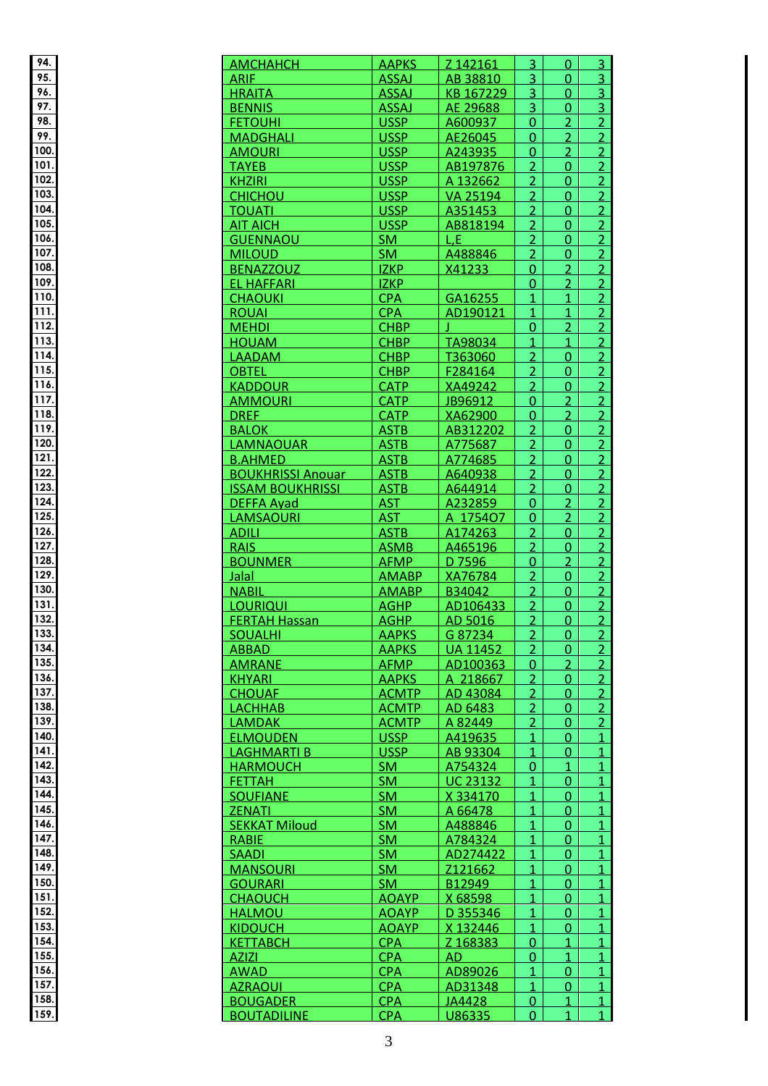| 94                    |  |
|-----------------------|--|
|                       |  |
| 95                    |  |
| 96                    |  |
| 9                     |  |
|                       |  |
| 98                    |  |
| 99                    |  |
|                       |  |
| 00<br>1               |  |
| 1<br>01               |  |
|                       |  |
| 1<br>O.               |  |
| 10                    |  |
| 10                    |  |
| )/                    |  |
| 1<br>0!               |  |
| 1<br>Oδ               |  |
|                       |  |
| 1<br>I<br>۱           |  |
| ı<br>IJ٤<br>I         |  |
|                       |  |
| l<br>IJ۱<br>I         |  |
| 1<br>l<br>0           |  |
| 1<br>Ĩ<br>1           |  |
|                       |  |
| 1<br>1<br>2           |  |
| 1<br>1<br>Ŝ<br>j      |  |
|                       |  |
| 1<br>1<br>4           |  |
| 1<br>1<br>ï           |  |
| í                     |  |
| 1<br>Ì<br>ć           |  |
| 117                   |  |
| 1<br>Ĭ<br>٤<br>Ŝ<br>I |  |
| I                     |  |
| 1<br>1                |  |
| 1<br>2<br>C<br>J      |  |
|                       |  |
| 1<br>1                |  |
| 1<br>2                |  |
| 2<br>1<br>3           |  |
|                       |  |
| 1<br>j<br>4           |  |
| 1                     |  |
| 1<br>l                |  |
|                       |  |
| 1                     |  |
| l                     |  |
| Ì                     |  |
|                       |  |
| 1                     |  |
| 1<br>3<br>1           |  |
| 32                    |  |
| 1                     |  |
| 1<br>3                |  |
| 1                     |  |
|                       |  |
| 1<br>l                |  |
| ı                     |  |
|                       |  |
| l                     |  |
| 1                     |  |
|                       |  |
|                       |  |
| 1                     |  |
| 1<br>I<br>I           |  |
|                       |  |
| 1                     |  |
| 4<br>1                |  |
| ï                     |  |
| 1                     |  |
| 1                     |  |
| ļ<br>1                |  |
|                       |  |
| 1                     |  |
| l                     |  |
| 1                     |  |
|                       |  |
| 1                     |  |
| 1<br>i<br>J           |  |
| l<br>1<br>5<br>1      |  |
|                       |  |
| 1<br>ı                |  |
| 1<br>j,               |  |
| ı                     |  |
| 1                     |  |
| 1                     |  |
| ι<br>l                |  |
|                       |  |
| 1<br>l<br>1           |  |

| 94.          | <b>AMCHAHCH</b>                       | <b>AAPKS</b>             | Z 142161         | $\overline{3}$ | $\Omega$                  | 3 <sup>1</sup>                 |
|--------------|---------------------------------------|--------------------------|------------------|----------------|---------------------------|--------------------------------|
| 95.          |                                       |                          |                  |                |                           |                                |
|              | <b>ARIF</b>                           | <b>ASSAJ</b>             | AB 38810         | $\overline{3}$ | $\overline{0}$            | 3 <sup>1</sup>                 |
| 96.          | <b>HRAITA</b>                         | <b>ASSAJ</b>             | KB 167229        | $\overline{3}$ | $\Omega$                  | $\overline{3}$                 |
| 97.          | <b>BENNIS</b>                         | <b>ASSAJ</b>             | AE 29688         | 3              | $\overline{0}$            | $\overline{3}$                 |
| 98.          | <b>FETOUHI</b>                        | <b>USSP</b>              | A600937          | $\overline{0}$ | $\overline{2}$            | $\overline{2}$                 |
| 99.          | <b>MADGHALI</b>                       | <b>USSP</b>              | AE26045          | $\overline{0}$ | $\overline{2}$            | $\overline{2}$                 |
| 100.         | <b>AMOURI</b>                         | <b>USSP</b>              | A243935          | $\overline{0}$ | 2 <sup>1</sup>            | 2 <sup>1</sup>                 |
| 101.         | <b>TAYEB</b>                          | <b>USSP</b>              | AB197876         | $\overline{2}$ | $\overline{0}$            | $\overline{2}$                 |
|              |                                       |                          |                  |                |                           |                                |
| 102.         | <b>KHZIRI</b>                         | <b>USSP</b>              | A 132662         | $\overline{2}$ | $\overline{0}$            | $\overline{2}$                 |
| 103.         | <b>CHICHOU</b>                        | <b>USSP</b>              | VA 25194         | $\overline{2}$ | $\overline{0}$            | $\overline{2}$                 |
| 104.         | <b>TOUATI</b>                         | <b>USSP</b>              | A351453          | $\overline{2}$ | $\overline{0}$            | $\overline{2}$                 |
| 105.         | <b>AIT AICH</b>                       | <b>USSP</b>              | AB818194         | $\overline{2}$ | $\Omega$                  | $\overline{2}$                 |
| 106.         | <b>GUENNAOU</b>                       | <b>SM</b>                | L,E              | $\overline{2}$ | 0                         | $\overline{2}$                 |
| 107.         | <b>MILOUD</b>                         | <b>SM</b>                | A488846          | $\overline{2}$ | $\overline{0}$            | $\overline{2}$                 |
| 108.         |                                       |                          |                  |                |                           |                                |
|              | <b>BENAZZOUZ</b>                      | <b>IZKP</b>              | X41233           | $\overline{0}$ | $\overline{2}$            | $\overline{2}$                 |
| 109.         | <b>EL HAFFARI</b>                     | <b>IZKP</b>              |                  | $\overline{0}$ | $\overline{2}$            | $\overline{2}$                 |
| 110.         | <b>CHAOUKI</b>                        | <b>CPA</b>               | GA16255          | $\mathbf{1}$   | $\mathbf{1}$              | $\overline{2}$                 |
| 111.         | <b>ROUAI</b>                          | <b>CPA</b>               | AD190121         | $\mathbf{1}$   | $\mathbf{1}$              | $\overline{2}$                 |
| 112.         | <b>MEHDI</b>                          | <b>CHBP</b>              |                  | $\mathbf{0}$   | $\overline{2}$            | $\overline{2}$                 |
| 113.         | <b>HOUAM</b>                          | <b>CHBP</b>              | TA98034          | $\mathbf{1}$   | $\mathbf{1}$              | $\overline{2}$                 |
| 114.         |                                       |                          |                  |                |                           |                                |
|              | <b>LAADAM</b>                         | <b>CHBP</b>              | T363060          | $\overline{2}$ | $\Omega$                  | $\overline{2}$                 |
| 115.         | <b>OBTEL</b>                          | <b>CHBP</b>              | F284164          | $\overline{2}$ | $\Omega$                  | $\overline{2}$                 |
| 116.         | <b>KADDOUR</b>                        | <b>CATP</b>              | XA49242          | $\overline{2}$ | $\overline{0}$            | $\overline{2}$                 |
| 117.         | <b>AMMOURI</b>                        | <b>CATP</b>              | JB96912          | $\overline{0}$ | $\overline{2}$            | $\overline{2}$                 |
| 118.         | <b>DREF</b>                           | <b>CATP</b>              | XA62900          | $\overline{0}$ | $\overline{2}$            | $\overline{2}$                 |
| 119.         | <b>BALOK</b>                          | <b>ASTB</b>              | AB312202         | $\overline{2}$ | $\overline{0}$            | 2                              |
|              |                                       |                          |                  |                |                           |                                |
| 120.         | <b>LAMNAOUAR</b>                      | <b>ASTB</b>              | A775687          | $\overline{2}$ | $\Omega$                  | $\overline{2}$                 |
| 121.         | <b>B.AHMED</b>                        | <b>ASTB</b>              | A774685          | $\overline{2}$ | $\overline{0}$            | $\overline{2}$                 |
| 122.         | <b>BOUKHRISSI Anouar</b>              | <b>ASTB</b>              | A640938          | $\overline{2}$ | $\Omega$                  | $\overline{2}$                 |
| 123.         | <b>ISSAM BOUKHRISSI</b>               | <b>ASTB</b>              | A644914          | $\overline{2}$ | $\Omega$                  | $\overline{2}$                 |
| 124.         | <b>DEFFA Avad</b>                     | <b>AST</b>               | A232859          | $\mathbf{0}$   | $\overline{2}$            | $\overline{2}$                 |
| 125.         |                                       | <b>AST</b>               |                  | $\overline{0}$ | $\overline{2}$            | $\overline{2}$                 |
|              | <b>LAMSAOURI</b>                      |                          | A 175407         |                |                           |                                |
| 126.         | <b>ADILI</b>                          | <b>ASTB</b>              | A174263          | $\overline{2}$ | $\overline{0}$            | $\overline{2}$                 |
| 127.         | <b>RAIS</b>                           | <b>ASMB</b>              | A465196          | $\overline{2}$ | $\overline{0}$            | $\overline{2}$                 |
| 128.         | <b>BOUNMER</b>                        | <b>AFMP</b>              | D 7596           | $\overline{0}$ | $\overline{2}$            | $\overline{2}$                 |
| 129.         | <b>Jalal</b>                          | <b>AMABP</b>             | XA76784          | $\overline{2}$ | $\overline{0}$            | $\overline{2}$                 |
| 130.         | <b>NABIL</b>                          | <b>AMABP</b>             | B34042           | $\overline{2}$ | $\overline{0}$            | $\overline{2}$                 |
| 131.         | <b>LOURIQUI</b>                       | <b>AGHP</b>              | AD106433         | $\overline{2}$ | $\overline{0}$            |                                |
| 132.         |                                       |                          |                  |                |                           | $\overline{2}$                 |
|              | <b>FERTAH Hassan</b>                  | <b>AGHP</b>              | AD 5016          | $\overline{2}$ | $\overline{0}$            | $\overline{2}$                 |
| 133.         | <b>SOUALHI</b>                        | <b>AAPKS</b>             | G 87234          | $\overline{2}$ | $\hat{\boldsymbol{\phi}}$ | <b>COL</b>                     |
| 134.         | <b>ABBAD</b>                          | <b>AAPKS</b>             | <b>UA 11452</b>  | $\overline{2}$ | $\overline{0}$            | $\overline{2}$                 |
| 135.         | <b>AMRANE</b>                         | <b>AFMP</b>              | AD100363         | $\overline{0}$ | $\overline{2}$            | $\overline{2}$                 |
| 136.         | <b>KHYARI</b>                         | <b>AAPKS</b>             | A 218667         | $\overline{2}$ | $\Omega$                  | $\overline{2}$                 |
| 137.         | <b>CHOUAF</b>                         | <b>ACMTP</b>             | AD 43084         | $\overline{2}$ | $\Omega$                  | $\overline{2}$                 |
| 138.         |                                       |                          |                  |                |                           |                                |
|              | <b>LACHHAB</b>                        | <b>ACMTP</b>             | AD 6483          | $\overline{2}$ | $\mathbf{0}$              | $\overline{2}$                 |
| 139.         | <b>LAMDAK</b>                         | <b>ACMTP</b>             | A 82449          | $\overline{2}$ | $\Omega$                  | $\overline{2}$                 |
| 140.         | <b>ELMOUDEN</b>                       | <b>USSP</b>              | A419635          | 1              | $\Omega$                  | $\overline{1}$                 |
| 141.         | LAGHMARTI B                           | <b>USSP</b>              | AB 93304         | $\mathbf{1}$   | $\Omega$                  | $\mathbf{1}$                   |
| 142.         | <b>HARMOUCH</b>                       | <b>SM</b>                | A754324          | $\Omega$       | 1                         | $\overline{1}$                 |
| 143.         | <b>FETTAH</b>                         | <b>SM</b>                | <b>UC 23132</b>  | 1              | 0                         | $\overline{1}$                 |
| 144.         | <b>SOUFIANE</b>                       | <b>SM</b>                |                  | $\mathbf{1}$   |                           | $\overline{1}$                 |
|              |                                       |                          | X 334170         |                | $\overline{0}$            |                                |
| 145.         | <b>ZENATI</b>                         | <b>SM</b>                | A 66478          | $\overline{1}$ | $\overline{0}$            | $\overline{1}$                 |
| 146.         | <b>SEKKAT Miloud</b>                  | <b>SM</b>                | A488846          | $\mathbf{1}$   | $\overline{0}$            | $\mathbf{1}$                   |
| 147.         | <b>RABIE</b>                          | <b>SM</b>                | A784324          | $\mathbf{1}$   | $\Omega$                  | $\overline{1}$                 |
| 148.         | <b>SAADI</b>                          | <b>SM</b>                | AD274422         | $\mathbf{1}$   | $\Omega$                  | $\overline{1}$                 |
|              |                                       | <b>SM</b>                | Z121662          | 1              | 0                         | $\mathbf{1}$                   |
|              |                                       |                          |                  |                |                           |                                |
| 149.         | <b>MANSOURI</b>                       |                          |                  |                |                           |                                |
| 150.         | <b>GOURARI</b>                        | <b>SM</b>                | B12949           | 1              | $\Omega$                  | $\mathbf{1}$                   |
| 151.         | <b>CHAOUCH</b>                        | <b>AOAYP</b>             | X 68598          | 1              | 0                         | $\overline{1}$                 |
| 152.         | <b>HALMOU</b>                         | <b>AOAYP</b>             | D 355346         | 1              | 0                         | $\mathbf{1}$                   |
| 153.         | <b>KIDOUCH</b>                        | <b>AOAYP</b>             | X 132446         | $\mathbf{1}$   | $\overline{0}$            | $\overline{1}$                 |
| 154.         |                                       |                          |                  |                | $\mathbf{1}$              |                                |
|              | <b>KETTABCH</b>                       | <b>CPA</b>               | Z 168383         | $\overline{0}$ |                           | $\overline{1}$                 |
| 155.         | <b>AZIZI</b>                          | <b>CPA</b>               | AD.              | $\overline{0}$ | $\mathbf{1}$              | $\mathbf{1}$                   |
| 156.         | <b>AWAD</b>                           | <b>CPA</b>               | AD89026          | $\mathbf{1}$   | $\Omega$                  | $\overline{1}$                 |
| 157.         | <b>AZRAOUI</b>                        | <b>CPA</b>               | AD31348          | 1              | 0                         | $\mathbf{1}$                   |
| 158.<br>159. | <b>BOUGADER</b><br><b>BOUTADILINE</b> | <b>CPA</b><br><b>CPA</b> | JA4428<br>U86335 | $\overline{0}$ | 1                         | $\mathbf{1}$<br>1 <sup>1</sup> |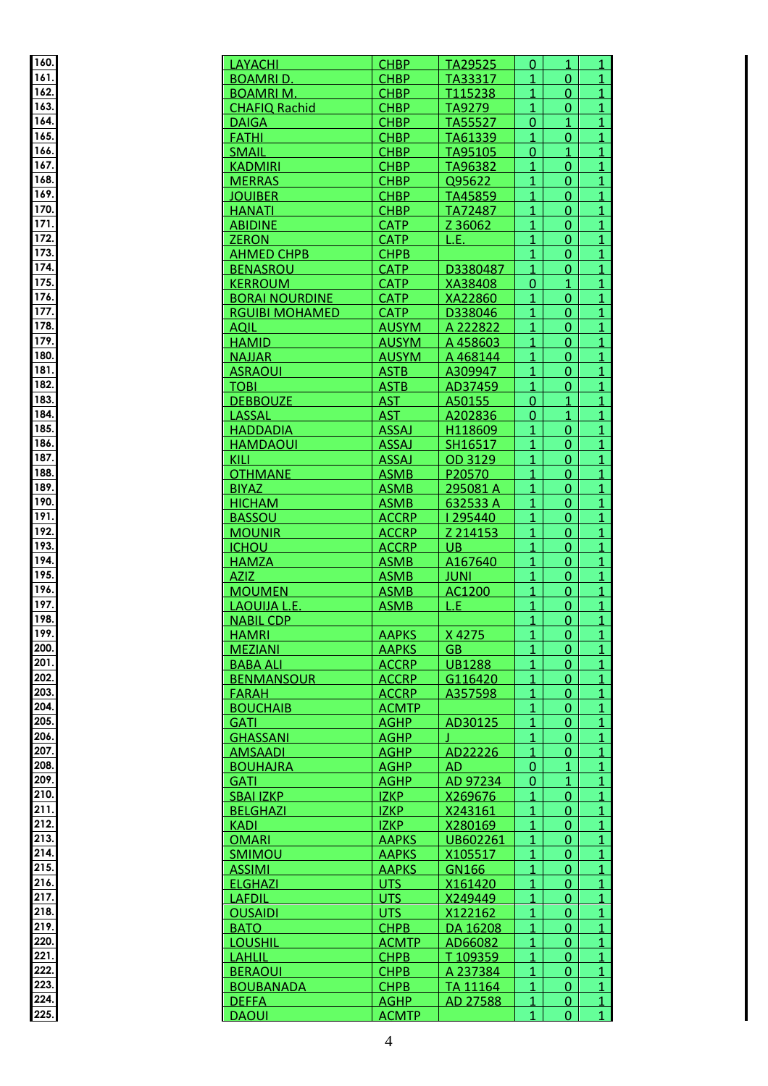| 160.                                    |  |
|-----------------------------------------|--|
| 1<br>61                                 |  |
| 1<br>$\overline{62}$                    |  |
|                                         |  |
| 163<br>S                                |  |
| 164                                     |  |
| 165                                     |  |
| 1<br>۱                                  |  |
| 1                                       |  |
| 1<br>68                                 |  |
| 1                                       |  |
| 69                                      |  |
| 1<br>70                                 |  |
| 1<br>$\overline{7}$                     |  |
| $\mathbf{1}$<br>$\overline{\mathbf{2}}$ |  |
| 173                                     |  |
| Ά,<br>1<br>ī                            |  |
| 75<br>1                                 |  |
| 1<br>76                                 |  |
|                                         |  |
| 1<br>77                                 |  |
| 1<br>78                                 |  |
| 1<br>79                                 |  |
| 1<br>80                                 |  |
| 1<br>81                                 |  |
| 182                                     |  |
| 183                                     |  |
| S                                       |  |
| 1<br>84                                 |  |
| 1<br>8                                  |  |
| 1<br>86                                 |  |
| 1<br>87                                 |  |
| 1<br>88                                 |  |
| 1<br>89                                 |  |
| 1<br>90.                                |  |
| 1                                       |  |
| 91                                      |  |
| 92<br>1                                 |  |
| 1<br>٢<br>χ<br>Ŝ                        |  |
| 1<br>٢<br>4<br>,                        |  |
| 1<br>ŗ<br>٩                             |  |
| 1<br>96                                 |  |
| 1<br>97                                 |  |
| 1<br>98                                 |  |
| 199                                     |  |
|                                         |  |
| 200                                     |  |
| 201                                     |  |
| 202                                     |  |
| 203                                     |  |
| 204                                     |  |
| 205                                     |  |
| 206                                     |  |
| 207                                     |  |
|                                         |  |
| 208                                     |  |
| 209                                     |  |
| 210                                     |  |
| 211                                     |  |
| 21                                      |  |
| 21<br>3                                 |  |
| 214                                     |  |
| 215                                     |  |
|                                         |  |
| $\overline{216}$                        |  |
| 21<br>7                                 |  |
| 21<br>f<br>8.                           |  |
| 219.                                    |  |
| 220                                     |  |
| 221                                     |  |
| ን<br>2                                  |  |
|                                         |  |
|                                         |  |
| ን<br>2<br>3                             |  |
| 224                                     |  |

| 160.               | LAYACHI               | <b>CHBP</b>  | TA29525        | $\Omega$       | $\mathbf{1}$   | $\mathbf{1}$   |
|--------------------|-----------------------|--------------|----------------|----------------|----------------|----------------|
| 161.               | <b>BOAMRID.</b>       | <b>CHBP</b>  | TA33317        | 1              | $\overline{0}$ | $\mathbf{1}$   |
| 162.               | <b>BOAMRIM.</b>       | <b>CHBP</b>  | T115238        | 1              | $\Omega$       | $\overline{1}$ |
| 163.               | <b>CHAFIQ Rachid</b>  | <b>CHBP</b>  | TA9279         | $\overline{1}$ | $\overline{0}$ | $\overline{1}$ |
| 164.               | <b>DAIGA</b>          | <b>CHBP</b>  | TA55527        | $\overline{0}$ | $\mathbf{1}$   | $\overline{1}$ |
| 165.               | <b>FATHI</b>          | <b>CHBP</b>  | TA61339        | $\mathbf{1}$   | $\overline{0}$ | $\overline{1}$ |
| 166.               | <b>SMAIL</b>          | <b>CHBP</b>  | TA95105        | $\overline{0}$ | $\mathbf{1}$   | $\mathbf{1}$   |
| 167.               | <b>KADMIRI</b>        | <b>CHBP</b>  | TA96382        | $\overline{1}$ | $\Omega$       | $\overline{1}$ |
| 168.               | <b>MERRAS</b>         | <b>CHBP</b>  | Q95622         | $\mathbf{1}$   | $\mathbf{0}$   | $\overline{1}$ |
| $\overline{169}$ . | <b>JOUIBER</b>        | <b>CHBP</b>  | TA45859        | $\mathbf{1}$   | 0              | $\overline{1}$ |
| 170.               | <b>HANATI</b>         | <b>CHBP</b>  | TA72487        | $\mathbf{1}$   | $\overline{0}$ | $\overline{1}$ |
| 171.               | <b>ABIDINE</b>        | <b>CATP</b>  | Z 36062        | $\mathbf{1}$   | $\Omega$       | $\mathbf{1}$   |
| 172.               | <b>ZERON</b>          | <b>CATP</b>  | L.E.           | 1              | 0              | $\overline{1}$ |
| 173.               | <b>AHMED CHPB</b>     | <b>CHPB</b>  |                | $\overline{1}$ | $\overline{0}$ | $\overline{1}$ |
| 174.               | <b>BENASROU</b>       | <b>CATP</b>  | D3380487       | $\overline{1}$ | $\overline{0}$ | $\overline{1}$ |
| 175.               | <b>KERROUM</b>        | <b>CATP</b>  | XA38408        | $\overline{0}$ | $\mathbf{1}$   | $\mathbf{1}$   |
| 176.               | <b>BORAI NOURDINE</b> | <b>CATP</b>  | XA22860        | $\mathbf{1}$   | $\Omega$       | $\overline{1}$ |
| 177.               | <b>RGUIBI MOHAMED</b> | <b>CATP</b>  | D338046        | $\mathbf{1}$   | $\Omega$       | $\overline{1}$ |
| 178.               | <b>AQIL</b>           | <b>AUSYM</b> | A 222822       | $\mathbf{1}$   | $\Omega$       | $\overline{1}$ |
| 179.               | <b>HAMID</b>          | <b>AUSYM</b> | A 458603       | 1              | $\overline{0}$ | $\overline{1}$ |
| 180.               | <b>NAJJAR</b>         | <b>AUSYM</b> | A 468144       | 1              | $\overline{0}$ | $\mathbf{1}$   |
| 181.               |                       | <b>ASTB</b>  | A309947        | 1              | 0              | $\mathbf{1}$   |
| 182.               | <b>ASRAOUI</b>        | <b>ASTB</b>  |                | $\mathbf{1}$   | $\overline{0}$ | $\overline{1}$ |
| 183.               | <b>TOBI</b>           |              | AD37459        | $\overline{0}$ | $\overline{1}$ |                |
| 184.               | <b>DEBBOUZE</b>       | <b>AST</b>   | A50155         |                |                | $\overline{1}$ |
|                    | LASSAL                | <b>AST</b>   | A202836        | $\overline{0}$ | $\mathbf{1}$   | $\overline{1}$ |
| 185.               | <b>HADDADIA</b>       | <b>ASSAJ</b> | H118609        | $\mathbf{1}$   | $\mathbf{0}$   | $\overline{1}$ |
| 186.               | <b>HAMDAOUI</b>       | <b>ASSAJ</b> | SH16517        | 1              | $\Omega$       | $\overline{1}$ |
| 187.               | KILI                  | <b>ASSAJ</b> | OD 3129        | $\mathbf{1}$   | $\Omega$       | $\overline{1}$ |
| 188.               | <b>OTHMANE</b>        | <b>ASMB</b>  | P20570         | 1              | $\Omega$       | $\overline{1}$ |
| 189.               | <b>BIYAZ</b>          | <b>ASMB</b>  | 295081A        | 1              | $\Omega$       | $\mathbf{1}$   |
| 190.               | <b>HICHAM</b>         | <b>ASMB</b>  | 632533 A       | $\mathbf{1}$   | 0              | $\overline{1}$ |
| 191.               | <b>BASSOU</b>         | <b>ACCRP</b> | 1295440        | $\mathbf{1}$   | $\overline{0}$ | $\overline{1}$ |
| 192.               | <b>MOUNIR</b>         | <b>ACCRP</b> | Z 214153       | $\overline{1}$ | $\overline{0}$ | $\overline{1}$ |
| 193.               | <b>ICHOU</b>          | <b>ACCRP</b> | UB.            | $\mathbf{1}$   | $\overline{0}$ | $\overline{1}$ |
| 194.               | <b>HAMZA</b>          | <b>ASMB</b>  | A167640        | $\mathbf{1}$   | $\Omega$       | $\mathbf{1}$   |
| 195.               | <b>AZIZ</b>           | <b>ASMB</b>  | <b>JUNI</b>    | $\mathbf{1}$   | $\Omega$       | $\overline{1}$ |
| 196.               | <b>MOUMEN</b>         | <b>ASMB</b>  | AC1200         | $\mathbf{1}$   | $\Omega$       | $\mathbf{1}$   |
| 197.               | LAOUIJA L.E.          | <b>ASMB</b>  | L.E.           | 1              | $\mathbf{0}$   | $\mathbf{1}$   |
| 198.               | <b>NABIL CDP</b>      |              |                | $\overline{1}$ | $\overline{0}$ | $\overline{1}$ |
| 199.               | <b>HAMRI</b>          | <b>AAPKS</b> | $\vert$ X 4275 | $\mathbf{A}$   | $\overline{0}$ | $\sim$         |
| 200.               | <b>MEZIANI</b>        | <b>AAPKS</b> | <b>GB</b>      | $\overline{1}$ | 0              | $\mathbf{1}$   |
| 201.               | <b>BABA ALI</b>       | <b>ACCRP</b> | <b>UB1288</b>  | 1              | $\Omega$       | $\mathbf{1}$   |
| 202.               | <b>BENMANSOUR</b>     | <b>ACCRP</b> | G116420        | $\mathbf{1}$   | $\Omega$       | $\mathbf{1}$   |
| 203.               | <b>FARAH</b>          | <b>ACCRP</b> | A357598        | $\mathbf{1}$   | $\Omega$       | $\mathbf{1}$   |
| 204                | <b>BOUCHAIB</b>       | <b>ACMTP</b> |                | 1              | 0              | $\mathbf{1}$   |
| 205.               | <b>GATI</b>           | <b>AGHP</b>  | AD30125        | $\mathbf{1}$   | 0              | $\mathbf{1}$   |
| 206.               | <b>GHASSANI</b>       | <b>AGHP</b>  |                | 1              | 0              | $\overline{1}$ |
| 207.               | <b>AMSAADI</b>        | <b>AGHP</b>  | AD22226        | 1              | 0              | $\mathbf{1}$   |
| 208.               | <b>BOUHAJRA</b>       | <b>AGHP</b>  | <b>AD</b>      | $\Omega$       | 1              | $\mathbf{1}$   |
| 209.               | <b>GATI</b>           | <b>AGHP</b>  | AD 97234       | $\Omega$       | 1              | $\mathbf{1}$   |
| 210.               | <b>SBAI IZKP</b>      | <b>IZKP</b>  | X269676        | 1              | $\Omega$       | $\overline{1}$ |
| 211.               | <b>BELGHAZI</b>       | <b>IZKP</b>  | X243161        | $\overline{1}$ | 0              | $\mathbf{1}$   |
| 212.               | <b>KADI</b>           | <b>IZKP</b>  | X280169        | $\mathbf{1}$   | $\overline{0}$ | $\mathbf{1}$   |
| 213.               | <b>OMARI</b>          | <b>AAPKS</b> | UB602261       | $\mathbf{1}$   | 0              | $\overline{1}$ |
| 214.               | <b>SMIMOU</b>         | <b>AAPKS</b> | X105517        | 1              | 0              | $\overline{1}$ |
| 215.               | <b>ASSIMI</b>         | <b>AAPKS</b> | GN166          | 1              | 0              | $\mathbf{1}$   |
| 216.               | <b>ELGHAZI</b>        | <b>UTS</b>   | X161420        | 1              | 0              | $\mathbf{1}$   |
| 217.               | <b>LAFDIL</b>         | UTS          | X249449        | 1              | 0              | 1              |
| 218.               | <b>OUSAIDI</b>        | <b>UTS</b>   | X122162        | 1              | 0              | 1              |
| 219.               | <b>BATO</b>           | <b>CHPB</b>  | DA 16208       | $\mathbf{1}$   | $\Omega$       | $\mathbf{1}$   |
| 220.               | <b>LOUSHIL</b>        | <b>ACMTP</b> | AD66082        | $\mathbf{1}$   | $\Omega$       | $\mathbf{1}$   |
| 221                |                       | <b>CHPB</b>  | T109359        | $\mathbf{1}$   | $\Omega$       | $\mathbf{1}$   |
| 222.               | <b>LAHLIL</b>         |              |                |                |                |                |
| 223.               | <b>BERAOUI</b>        | <b>CHPB</b>  | A 237384       | 1              | 0              | $\mathbf{1}$   |
|                    | <b>BOUBANADA</b>      | <b>CHPB</b>  | TA 11164       | 1              | 0              | $\mathbf{1}$   |
| 224.               | <b>DEFFA</b>          | <b>AGHP</b>  | AD 27588       | 1              | 0              | $\mathbf{1}$   |
| 225.               | <b>DAOUI</b>          | <b>ACMTP</b> |                | 1              | 0              | $\mathbf{1}$   |